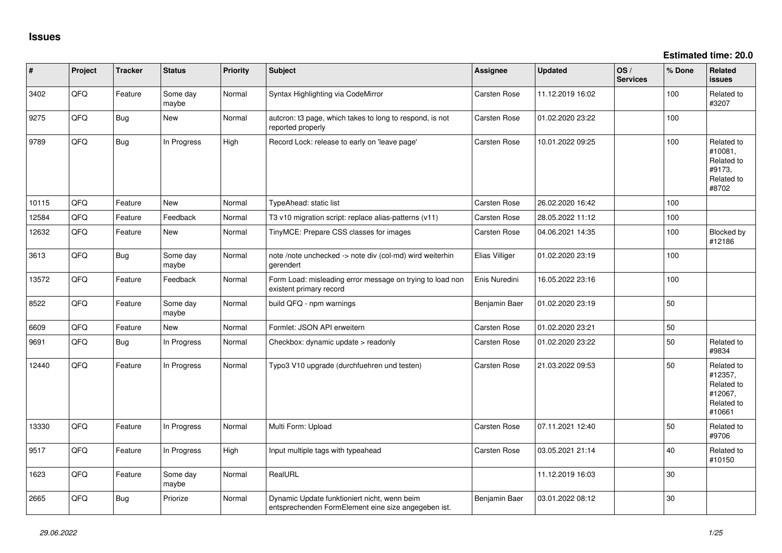| ∦     | Project | <b>Tracker</b> | <b>Status</b>     | <b>Priority</b> | <b>Subject</b>                                                                                      | <b>Assignee</b>     | <b>Updated</b>   | OS/<br><b>Services</b> | % Done | Related<br>issues                                                      |
|-------|---------|----------------|-------------------|-----------------|-----------------------------------------------------------------------------------------------------|---------------------|------------------|------------------------|--------|------------------------------------------------------------------------|
| 3402  | QFQ     | Feature        | Some day<br>maybe | Normal          | Syntax Highlighting via CodeMirror                                                                  | Carsten Rose        | 11.12.2019 16:02 |                        | 100    | Related to<br>#3207                                                    |
| 9275  | QFQ     | Bug            | New               | Normal          | autcron: t3 page, which takes to long to respond, is not<br>reported properly                       | Carsten Rose        | 01.02.2020 23:22 |                        | 100    |                                                                        |
| 9789  | QFQ     | Bug            | In Progress       | High            | Record Lock: release to early on 'leave page'                                                       | <b>Carsten Rose</b> | 10.01.2022 09:25 |                        | 100    | Related to<br>#10081,<br>Related to<br>#9173,<br>Related to<br>#8702   |
| 10115 | QFQ     | Feature        | <b>New</b>        | Normal          | TypeAhead: static list                                                                              | <b>Carsten Rose</b> | 26.02.2020 16:42 |                        | 100    |                                                                        |
| 12584 | QFQ     | Feature        | Feedback          | Normal          | T3 v10 migration script: replace alias-patterns (v11)                                               | <b>Carsten Rose</b> | 28.05.2022 11:12 |                        | 100    |                                                                        |
| 12632 | QFQ     | Feature        | New               | Normal          | TinyMCE: Prepare CSS classes for images                                                             | <b>Carsten Rose</b> | 04.06.2021 14:35 |                        | 100    | Blocked by<br>#12186                                                   |
| 3613  | QFQ     | Bug            | Some day<br>maybe | Normal          | note /note unchecked -> note div (col-md) wird weiterhin<br>gerendert                               | Elias Villiger      | 01.02.2020 23:19 |                        | 100    |                                                                        |
| 13572 | QFQ     | Feature        | Feedback          | Normal          | Form Load: misleading error message on trying to load non<br>existent primary record                | Enis Nuredini       | 16.05.2022 23:16 |                        | 100    |                                                                        |
| 8522  | QFQ     | Feature        | Some day<br>maybe | Normal          | build QFQ - npm warnings                                                                            | Benjamin Baer       | 01.02.2020 23:19 |                        | 50     |                                                                        |
| 6609  | QFQ     | Feature        | <b>New</b>        | Normal          | Formlet: JSON API erweitern                                                                         | <b>Carsten Rose</b> | 01.02.2020 23:21 |                        | 50     |                                                                        |
| 9691  | QFQ     | Bug            | In Progress       | Normal          | Checkbox: dynamic update > readonly                                                                 | <b>Carsten Rose</b> | 01.02.2020 23:22 |                        | 50     | Related to<br>#9834                                                    |
| 12440 | QFQ     | Feature        | In Progress       | Normal          | Typo3 V10 upgrade (durchfuehren und testen)                                                         | Carsten Rose        | 21.03.2022 09:53 |                        | 50     | Related to<br>#12357,<br>Related to<br>#12067,<br>Related to<br>#10661 |
| 13330 | QFQ     | Feature        | In Progress       | Normal          | Multi Form: Upload                                                                                  | Carsten Rose        | 07.11.2021 12:40 |                        | 50     | Related to<br>#9706                                                    |
| 9517  | QFQ     | Feature        | In Progress       | High            | Input multiple tags with typeahead                                                                  | <b>Carsten Rose</b> | 03.05.2021 21:14 |                        | 40     | Related to<br>#10150                                                   |
| 1623  | QFQ     | Feature        | Some day<br>maybe | Normal          | RealURL                                                                                             |                     | 11.12.2019 16:03 |                        | 30     |                                                                        |
| 2665  | QFQ     | Bug            | Priorize          | Normal          | Dynamic Update funktioniert nicht, wenn beim<br>entsprechenden FormElement eine size angegeben ist. | Benjamin Baer       | 03.01.2022 08:12 |                        | 30     |                                                                        |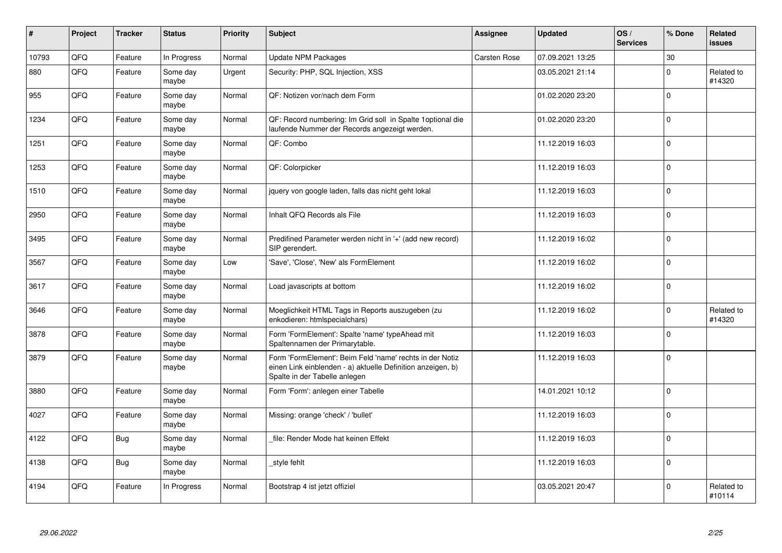| $\pmb{\#}$ | Project | <b>Tracker</b> | <b>Status</b>     | <b>Priority</b> | <b>Subject</b>                                                                                                                                           | Assignee            | <b>Updated</b>   | OS/<br><b>Services</b> | % Done       | Related<br>issues    |
|------------|---------|----------------|-------------------|-----------------|----------------------------------------------------------------------------------------------------------------------------------------------------------|---------------------|------------------|------------------------|--------------|----------------------|
| 10793      | QFQ     | Feature        | In Progress       | Normal          | <b>Update NPM Packages</b>                                                                                                                               | <b>Carsten Rose</b> | 07.09.2021 13:25 |                        | $30\,$       |                      |
| 880        | QFQ     | Feature        | Some day<br>maybe | Urgent          | Security: PHP, SQL Injection, XSS                                                                                                                        |                     | 03.05.2021 21:14 |                        | $\Omega$     | Related to<br>#14320 |
| 955        | QFQ     | Feature        | Some day<br>maybe | Normal          | QF: Notizen vor/nach dem Form                                                                                                                            |                     | 01.02.2020 23:20 |                        | $\Omega$     |                      |
| 1234       | QFQ     | Feature        | Some day<br>maybe | Normal          | QF: Record numbering: Im Grid soll in Spalte 1optional die<br>laufende Nummer der Records angezeigt werden.                                              |                     | 01.02.2020 23:20 |                        | $\Omega$     |                      |
| 1251       | QFQ     | Feature        | Some day<br>maybe | Normal          | QF: Combo                                                                                                                                                |                     | 11.12.2019 16:03 |                        | $\Omega$     |                      |
| 1253       | QFQ     | Feature        | Some day<br>maybe | Normal          | QF: Colorpicker                                                                                                                                          |                     | 11.12.2019 16:03 |                        | $\Omega$     |                      |
| 1510       | QFQ     | Feature        | Some day<br>maybe | Normal          | jquery von google laden, falls das nicht geht lokal                                                                                                      |                     | 11.12.2019 16:03 |                        | $\mathbf 0$  |                      |
| 2950       | QFQ     | Feature        | Some day<br>maybe | Normal          | Inhalt QFQ Records als File                                                                                                                              |                     | 11.12.2019 16:03 |                        | $\Omega$     |                      |
| 3495       | QFQ     | Feature        | Some day<br>maybe | Normal          | Predifined Parameter werden nicht in '+' (add new record)<br>SIP gerendert.                                                                              |                     | 11.12.2019 16:02 |                        | $\mathbf 0$  |                      |
| 3567       | QFQ     | Feature        | Some day<br>maybe | Low             | 'Save', 'Close', 'New' als FormElement                                                                                                                   |                     | 11.12.2019 16:02 |                        | $\mathbf{0}$ |                      |
| 3617       | QFQ     | Feature        | Some day<br>maybe | Normal          | Load javascripts at bottom                                                                                                                               |                     | 11.12.2019 16:02 |                        | $\mathbf 0$  |                      |
| 3646       | QFQ     | Feature        | Some day<br>maybe | Normal          | Moeglichkeit HTML Tags in Reports auszugeben (zu<br>enkodieren: htmlspecialchars)                                                                        |                     | 11.12.2019 16:02 |                        | $\Omega$     | Related to<br>#14320 |
| 3878       | QFQ     | Feature        | Some day<br>maybe | Normal          | Form 'FormElement': Spalte 'name' typeAhead mit<br>Spaltennamen der Primarytable.                                                                        |                     | 11.12.2019 16:03 |                        | $\Omega$     |                      |
| 3879       | QFQ     | Feature        | Some day<br>maybe | Normal          | Form 'FormElement': Beim Feld 'name' rechts in der Notiz<br>einen Link einblenden - a) aktuelle Definition anzeigen, b)<br>Spalte in der Tabelle anlegen |                     | 11.12.2019 16:03 |                        | $\mathbf 0$  |                      |
| 3880       | QFQ     | Feature        | Some day<br>maybe | Normal          | Form 'Form': anlegen einer Tabelle                                                                                                                       |                     | 14.01.2021 10:12 |                        | $\Omega$     |                      |
| 4027       | QFQ     | Feature        | Some day<br>maybe | Normal          | Missing: orange 'check' / 'bullet'                                                                                                                       |                     | 11.12.2019 16:03 |                        | $\Omega$     |                      |
| 4122       | QFQ     | <b>Bug</b>     | Some day<br>maybe | Normal          | file: Render Mode hat keinen Effekt                                                                                                                      |                     | 11.12.2019 16:03 |                        | $\Omega$     |                      |
| 4138       | QFQ     | <b>Bug</b>     | Some day<br>maybe | Normal          | style fehlt                                                                                                                                              |                     | 11.12.2019 16:03 |                        | $\Omega$     |                      |
| 4194       | QFQ     | Feature        | In Progress       | Normal          | Bootstrap 4 ist jetzt offiziel                                                                                                                           |                     | 03.05.2021 20:47 |                        | $\Omega$     | Related to<br>#10114 |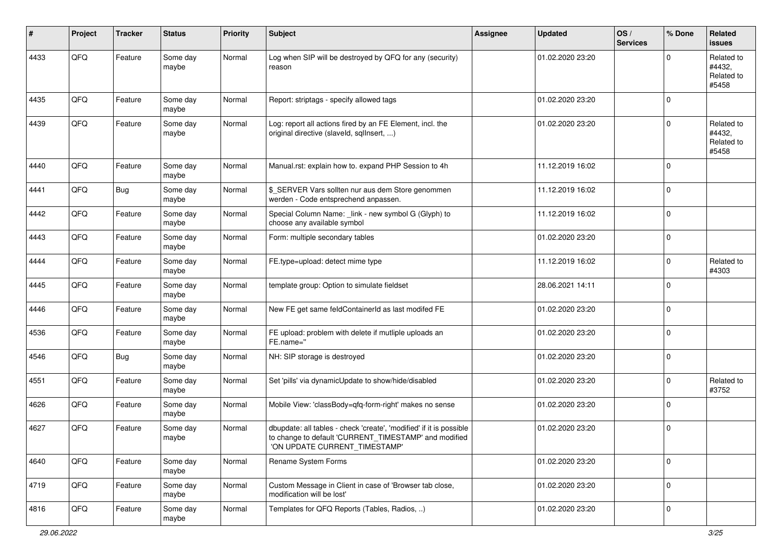| #    | Project | <b>Tracker</b> | <b>Status</b>     | <b>Priority</b> | Subject                                                                                                                                                       | <b>Assignee</b> | <b>Updated</b>   | OS/<br><b>Services</b> | % Done      | Related<br><b>issues</b>                    |
|------|---------|----------------|-------------------|-----------------|---------------------------------------------------------------------------------------------------------------------------------------------------------------|-----------------|------------------|------------------------|-------------|---------------------------------------------|
| 4433 | QFQ     | Feature        | Some day<br>maybe | Normal          | Log when SIP will be destroyed by QFQ for any (security)<br>reason                                                                                            |                 | 01.02.2020 23:20 |                        | $\Omega$    | Related to<br>#4432,<br>Related to<br>#5458 |
| 4435 | QFQ     | Feature        | Some day<br>maybe | Normal          | Report: striptags - specify allowed tags                                                                                                                      |                 | 01.02.2020 23:20 |                        | $\Omega$    |                                             |
| 4439 | QFQ     | Feature        | Some day<br>maybe | Normal          | Log: report all actions fired by an FE Element, incl. the<br>original directive (slaveld, sqlInsert, )                                                        |                 | 01.02.2020 23:20 |                        | $\Omega$    | Related to<br>#4432,<br>Related to<br>#5458 |
| 4440 | QFQ     | Feature        | Some day<br>maybe | Normal          | Manual.rst: explain how to. expand PHP Session to 4h                                                                                                          |                 | 11.12.2019 16:02 |                        | $\Omega$    |                                             |
| 4441 | QFQ     | Bug            | Some day<br>maybe | Normal          | \$_SERVER Vars sollten nur aus dem Store genommen<br>werden - Code entsprechend anpassen.                                                                     |                 | 11.12.2019 16:02 |                        | $\Omega$    |                                             |
| 4442 | QFQ     | Feature        | Some day<br>maybe | Normal          | Special Column Name: _link - new symbol G (Glyph) to<br>choose any available symbol                                                                           |                 | 11.12.2019 16:02 |                        | $\mathbf 0$ |                                             |
| 4443 | QFQ     | Feature        | Some day<br>maybe | Normal          | Form: multiple secondary tables                                                                                                                               |                 | 01.02.2020 23:20 |                        | $\mathbf 0$ |                                             |
| 4444 | QFQ     | Feature        | Some day<br>maybe | Normal          | FE.type=upload: detect mime type                                                                                                                              |                 | 11.12.2019 16:02 |                        | $\Omega$    | Related to<br>#4303                         |
| 4445 | QFQ     | Feature        | Some day<br>maybe | Normal          | template group: Option to simulate fieldset                                                                                                                   |                 | 28.06.2021 14:11 |                        | $\Omega$    |                                             |
| 4446 | QFQ     | Feature        | Some day<br>maybe | Normal          | New FE get same feldContainerId as last modifed FE                                                                                                            |                 | 01.02.2020 23:20 |                        | $\Omega$    |                                             |
| 4536 | QFQ     | Feature        | Some day<br>maybe | Normal          | FE upload: problem with delete if mutliple uploads an<br>FE.name="                                                                                            |                 | 01.02.2020 23:20 |                        | $\Omega$    |                                             |
| 4546 | QFQ     | <b>Bug</b>     | Some day<br>maybe | Normal          | NH: SIP storage is destroyed                                                                                                                                  |                 | 01.02.2020 23:20 |                        | $\Omega$    |                                             |
| 4551 | QFQ     | Feature        | Some day<br>maybe | Normal          | Set 'pills' via dynamicUpdate to show/hide/disabled                                                                                                           |                 | 01.02.2020 23:20 |                        | $\Omega$    | Related to<br>#3752                         |
| 4626 | QFQ     | Feature        | Some day<br>maybe | Normal          | Mobile View: 'classBody=qfq-form-right' makes no sense                                                                                                        |                 | 01.02.2020 23:20 |                        | $\mathbf 0$ |                                             |
| 4627 | QFQ     | Feature        | Some day<br>maybe | Normal          | dbupdate: all tables - check 'create', 'modified' if it is possible<br>to change to default 'CURRENT_TIMESTAMP' and modified<br>'ON UPDATE CURRENT_TIMESTAMP' |                 | 01.02.2020 23:20 |                        | $\Omega$    |                                             |
| 4640 | QFG     | Feature        | Some day<br>maybe | Normal          | Rename System Forms                                                                                                                                           |                 | 01.02.2020 23:20 |                        | $\mathbf 0$ |                                             |
| 4719 | QFQ     | Feature        | Some day<br>maybe | Normal          | Custom Message in Client in case of 'Browser tab close,<br>modification will be lost'                                                                         |                 | 01.02.2020 23:20 |                        | $\mathbf 0$ |                                             |
| 4816 | QFQ     | Feature        | Some day<br>maybe | Normal          | Templates for QFQ Reports (Tables, Radios, )                                                                                                                  |                 | 01.02.2020 23:20 |                        | 0           |                                             |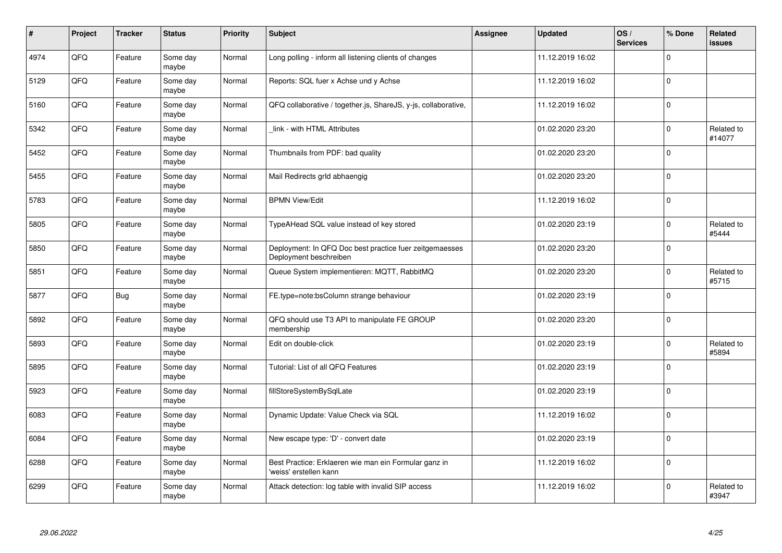| $\pmb{\#}$ | Project | <b>Tracker</b> | <b>Status</b>     | <b>Priority</b> | <b>Subject</b>                                                                    | Assignee | <b>Updated</b>   | OS/<br><b>Services</b> | % Done      | Related<br>issues    |
|------------|---------|----------------|-------------------|-----------------|-----------------------------------------------------------------------------------|----------|------------------|------------------------|-------------|----------------------|
| 4974       | QFQ     | Feature        | Some day<br>maybe | Normal          | Long polling - inform all listening clients of changes                            |          | 11.12.2019 16:02 |                        | $\Omega$    |                      |
| 5129       | QFQ     | Feature        | Some day<br>maybe | Normal          | Reports: SQL fuer x Achse und y Achse                                             |          | 11.12.2019 16:02 |                        | $\Omega$    |                      |
| 5160       | QFQ     | Feature        | Some day<br>maybe | Normal          | QFQ collaborative / together.js, ShareJS, y-js, collaborative,                    |          | 11.12.2019 16:02 |                        | $\mathbf 0$ |                      |
| 5342       | QFQ     | Feature        | Some day<br>maybe | Normal          | link - with HTML Attributes                                                       |          | 01.02.2020 23:20 |                        | $\Omega$    | Related to<br>#14077 |
| 5452       | QFQ     | Feature        | Some day<br>maybe | Normal          | Thumbnails from PDF: bad quality                                                  |          | 01.02.2020 23:20 |                        | $\Omega$    |                      |
| 5455       | QFQ     | Feature        | Some day<br>maybe | Normal          | Mail Redirects grld abhaengig                                                     |          | 01.02.2020 23:20 |                        | $\mathbf 0$ |                      |
| 5783       | QFQ     | Feature        | Some day<br>maybe | Normal          | <b>BPMN View/Edit</b>                                                             |          | 11.12.2019 16:02 |                        | $\mathbf 0$ |                      |
| 5805       | QFQ     | Feature        | Some day<br>maybe | Normal          | TypeAHead SQL value instead of key stored                                         |          | 01.02.2020 23:19 |                        | $\Omega$    | Related to<br>#5444  |
| 5850       | QFQ     | Feature        | Some day<br>maybe | Normal          | Deployment: In QFQ Doc best practice fuer zeitgemaesses<br>Deployment beschreiben |          | 01.02.2020 23:20 |                        | $\Omega$    |                      |
| 5851       | QFQ     | Feature        | Some day<br>maybe | Normal          | Queue System implementieren: MQTT, RabbitMQ                                       |          | 01.02.2020 23:20 |                        | $\Omega$    | Related to<br>#5715  |
| 5877       | QFQ     | <b>Bug</b>     | Some day<br>maybe | Normal          | FE.type=note:bsColumn strange behaviour                                           |          | 01.02.2020 23:19 |                        | $\Omega$    |                      |
| 5892       | QFQ     | Feature        | Some day<br>maybe | Normal          | QFQ should use T3 API to manipulate FE GROUP<br>membership                        |          | 01.02.2020 23:20 |                        | $\mathbf 0$ |                      |
| 5893       | QFQ     | Feature        | Some day<br>maybe | Normal          | Edit on double-click                                                              |          | 01.02.2020 23:19 |                        | $\Omega$    | Related to<br>#5894  |
| 5895       | QFQ     | Feature        | Some day<br>maybe | Normal          | Tutorial: List of all QFQ Features                                                |          | 01.02.2020 23:19 |                        | $\mathbf 0$ |                      |
| 5923       | QFQ     | Feature        | Some day<br>maybe | Normal          | fillStoreSystemBySqlLate                                                          |          | 01.02.2020 23:19 |                        | $\Omega$    |                      |
| 6083       | QFQ     | Feature        | Some day<br>maybe | Normal          | Dynamic Update: Value Check via SQL                                               |          | 11.12.2019 16:02 |                        | $\Omega$    |                      |
| 6084       | QFQ     | Feature        | Some day<br>maybe | Normal          | New escape type: 'D' - convert date                                               |          | 01.02.2020 23:19 |                        | $\Omega$    |                      |
| 6288       | QFQ     | Feature        | Some day<br>maybe | Normal          | Best Practice: Erklaeren wie man ein Formular ganz in<br>'weiss' erstellen kann   |          | 11.12.2019 16:02 |                        | $\Omega$    |                      |
| 6299       | QFQ     | Feature        | Some day<br>maybe | Normal          | Attack detection: log table with invalid SIP access                               |          | 11.12.2019 16:02 |                        | $\Omega$    | Related to<br>#3947  |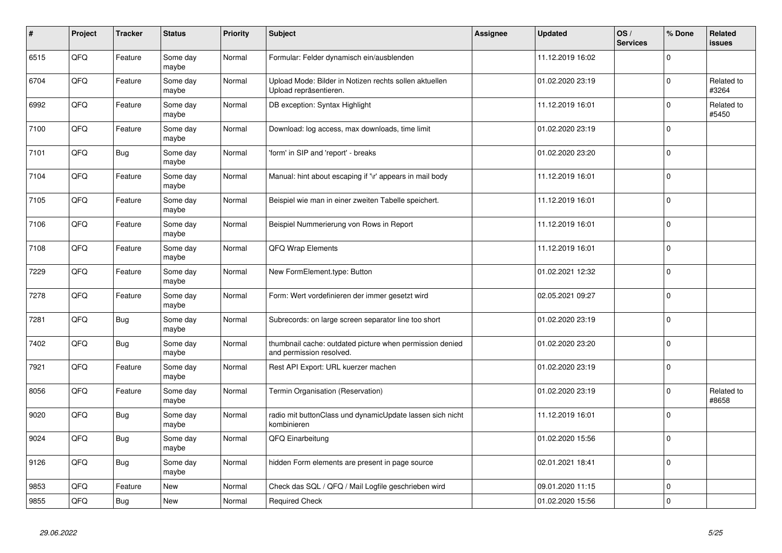| #    | Project | <b>Tracker</b> | <b>Status</b>     | <b>Priority</b> | <b>Subject</b>                                                                       | <b>Assignee</b> | <b>Updated</b>   | OS/<br><b>Services</b> | % Done      | Related<br><b>issues</b> |
|------|---------|----------------|-------------------|-----------------|--------------------------------------------------------------------------------------|-----------------|------------------|------------------------|-------------|--------------------------|
| 6515 | QFQ     | Feature        | Some day<br>maybe | Normal          | Formular: Felder dynamisch ein/ausblenden                                            |                 | 11.12.2019 16:02 |                        | $\Omega$    |                          |
| 6704 | QFQ     | Feature        | Some day<br>maybe | Normal          | Upload Mode: Bilder in Notizen rechts sollen aktuellen<br>Upload repräsentieren.     |                 | 01.02.2020 23:19 |                        | $\mathbf 0$ | Related to<br>#3264      |
| 6992 | QFQ     | Feature        | Some day<br>maybe | Normal          | DB exception: Syntax Highlight                                                       |                 | 11.12.2019 16:01 |                        | $\Omega$    | Related to<br>#5450      |
| 7100 | QFQ     | Feature        | Some day<br>maybe | Normal          | Download: log access, max downloads, time limit                                      |                 | 01.02.2020 23:19 |                        | $\Omega$    |                          |
| 7101 | QFQ     | Bug            | Some day<br>maybe | Normal          | 'form' in SIP and 'report' - breaks                                                  |                 | 01.02.2020 23:20 |                        | $\Omega$    |                          |
| 7104 | QFQ     | Feature        | Some day<br>maybe | Normal          | Manual: hint about escaping if '\r' appears in mail body                             |                 | 11.12.2019 16:01 |                        | $\Omega$    |                          |
| 7105 | QFQ     | Feature        | Some day<br>maybe | Normal          | Beispiel wie man in einer zweiten Tabelle speichert.                                 |                 | 11.12.2019 16:01 |                        | $\Omega$    |                          |
| 7106 | QFQ     | Feature        | Some day<br>maybe | Normal          | Beispiel Nummerierung von Rows in Report                                             |                 | 11.12.2019 16:01 |                        | $\Omega$    |                          |
| 7108 | QFQ     | Feature        | Some day<br>maybe | Normal          | <b>QFQ Wrap Elements</b>                                                             |                 | 11.12.2019 16:01 |                        | $\Omega$    |                          |
| 7229 | QFQ     | Feature        | Some day<br>maybe | Normal          | New FormElement.type: Button                                                         |                 | 01.02.2021 12:32 |                        | $\Omega$    |                          |
| 7278 | QFQ     | Feature        | Some day<br>maybe | Normal          | Form: Wert vordefinieren der immer gesetzt wird                                      |                 | 02.05.2021 09:27 |                        | $\mathbf 0$ |                          |
| 7281 | QFQ     | <b>Bug</b>     | Some day<br>maybe | Normal          | Subrecords: on large screen separator line too short                                 |                 | 01.02.2020 23:19 |                        | $\mathbf 0$ |                          |
| 7402 | QFQ     | Bug            | Some day<br>maybe | Normal          | thumbnail cache: outdated picture when permission denied<br>and permission resolved. |                 | 01.02.2020 23:20 |                        | $\Omega$    |                          |
| 7921 | QFQ     | Feature        | Some day<br>maybe | Normal          | Rest API Export: URL kuerzer machen                                                  |                 | 01.02.2020 23:19 |                        | $\Omega$    |                          |
| 8056 | QFQ     | Feature        | Some day<br>maybe | Normal          | Termin Organisation (Reservation)                                                    |                 | 01.02.2020 23:19 |                        | 0           | Related to<br>#8658      |
| 9020 | QFQ     | <b>Bug</b>     | Some day<br>maybe | Normal          | radio mit buttonClass und dynamicUpdate lassen sich nicht<br>kombinieren             |                 | 11.12.2019 16:01 |                        | $\Omega$    |                          |
| 9024 | QFQ     | <b>Bug</b>     | Some day<br>maybe | Normal          | QFQ Einarbeitung                                                                     |                 | 01.02.2020 15:56 |                        | $\Omega$    |                          |
| 9126 | QFQ     | <b>Bug</b>     | Some day<br>maybe | Normal          | hidden Form elements are present in page source                                      |                 | 02.01.2021 18:41 |                        | $\mathbf 0$ |                          |
| 9853 | QFQ     | Feature        | <b>New</b>        | Normal          | Check das SQL / QFQ / Mail Logfile geschrieben wird                                  |                 | 09.01.2020 11:15 |                        | 0           |                          |
| 9855 | QFQ     | <b>Bug</b>     | New               | Normal          | <b>Required Check</b>                                                                |                 | 01.02.2020 15:56 |                        | $\Omega$    |                          |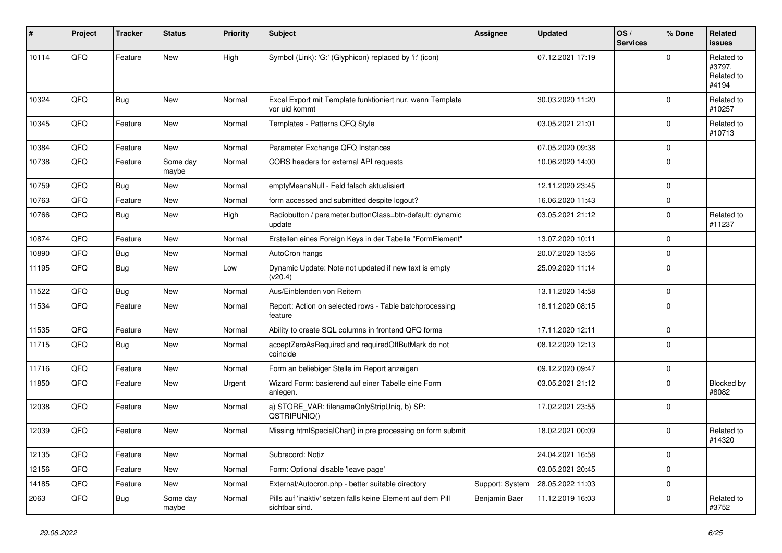| ∦     | Project | <b>Tracker</b> | <b>Status</b>     | <b>Priority</b> | <b>Subject</b>                                                                | Assignee        | <b>Updated</b>   | OS/<br><b>Services</b> | % Done      | Related<br><b>issues</b>                    |
|-------|---------|----------------|-------------------|-----------------|-------------------------------------------------------------------------------|-----------------|------------------|------------------------|-------------|---------------------------------------------|
| 10114 | QFQ     | Feature        | <b>New</b>        | High            | Symbol (Link): 'G:' (Glyphicon) replaced by 'i:' (icon)                       |                 | 07.12.2021 17:19 |                        | $\Omega$    | Related to<br>#3797.<br>Related to<br>#4194 |
| 10324 | QFQ     | <b>Bug</b>     | New               | Normal          | Excel Export mit Template funktioniert nur, wenn Template<br>vor uid kommt    |                 | 30.03.2020 11:20 |                        | $\mathbf 0$ | Related to<br>#10257                        |
| 10345 | QFQ     | Feature        | New               | Normal          | Templates - Patterns QFQ Style                                                |                 | 03.05.2021 21:01 |                        | $\mathbf 0$ | Related to<br>#10713                        |
| 10384 | QFQ     | Feature        | <b>New</b>        | Normal          | Parameter Exchange QFQ Instances                                              |                 | 07.05.2020 09:38 |                        | $\mathbf 0$ |                                             |
| 10738 | QFQ     | Feature        | Some day<br>maybe | Normal          | CORS headers for external API requests                                        |                 | 10.06.2020 14:00 |                        | $\mathbf 0$ |                                             |
| 10759 | QFQ     | <b>Bug</b>     | <b>New</b>        | Normal          | emptyMeansNull - Feld falsch aktualisiert                                     |                 | 12.11.2020 23:45 |                        | $\mathbf 0$ |                                             |
| 10763 | QFQ     | Feature        | New               | Normal          | form accessed and submitted despite logout?                                   |                 | 16.06.2020 11:43 |                        | $\mathbf 0$ |                                             |
| 10766 | QFQ     | Bug            | New               | High            | Radiobutton / parameter.buttonClass=btn-default: dynamic<br>update            |                 | 03.05.2021 21:12 |                        | $\mathbf 0$ | Related to<br>#11237                        |
| 10874 | QFQ     | Feature        | New               | Normal          | Erstellen eines Foreign Keys in der Tabelle "FormElement"                     |                 | 13.07.2020 10:11 |                        | $\mathbf 0$ |                                             |
| 10890 | QFQ     | <b>Bug</b>     | <b>New</b>        | Normal          | AutoCron hangs                                                                |                 | 20.07.2020 13:56 |                        | $\mathbf 0$ |                                             |
| 11195 | QFQ     | Bug            | New               | Low             | Dynamic Update: Note not updated if new text is empty<br>(v20.4)              |                 | 25.09.2020 11:14 |                        | $\mathbf 0$ |                                             |
| 11522 | QFQ     | <b>Bug</b>     | <b>New</b>        | Normal          | Aus/Einblenden von Reitern                                                    |                 | 13.11.2020 14:58 |                        | $\mathbf 0$ |                                             |
| 11534 | QFQ     | Feature        | New               | Normal          | Report: Action on selected rows - Table batchprocessing<br>feature            |                 | 18.11.2020 08:15 |                        | $\mathbf 0$ |                                             |
| 11535 | QFQ     | Feature        | New               | Normal          | Ability to create SQL columns in frontend QFQ forms                           |                 | 17.11.2020 12:11 |                        | $\mathsf 0$ |                                             |
| 11715 | QFQ     | Bug            | New               | Normal          | acceptZeroAsRequired and requiredOffButMark do not<br>coincide                |                 | 08.12.2020 12:13 |                        | $\mathbf 0$ |                                             |
| 11716 | QFQ     | Feature        | New               | Normal          | Form an beliebiger Stelle im Report anzeigen                                  |                 | 09.12.2020 09:47 |                        | $\mathbf 0$ |                                             |
| 11850 | QFQ     | Feature        | <b>New</b>        | Urgent          | Wizard Form: basierend auf einer Tabelle eine Form<br>anlegen.                |                 | 03.05.2021 21:12 |                        | $\mathbf 0$ | Blocked by<br>#8082                         |
| 12038 | QFQ     | Feature        | New               | Normal          | a) STORE_VAR: filenameOnlyStripUniq, b) SP:<br>QSTRIPUNIQ()                   |                 | 17.02.2021 23:55 |                        | $\mathbf 0$ |                                             |
| 12039 | QFQ     | Feature        | <b>New</b>        | Normal          | Missing htmlSpecialChar() in pre processing on form submit                    |                 | 18.02.2021 00:09 |                        | $\mathbf 0$ | Related to<br>#14320                        |
| 12135 | QFQ     | Feature        | New               | Normal          | Subrecord: Notiz                                                              |                 | 24.04.2021 16:58 |                        | $\mathsf 0$ |                                             |
| 12156 | QFQ     | Feature        | New               | Normal          | Form: Optional disable 'leave page'                                           |                 | 03.05.2021 20:45 |                        | $\mathbf 0$ |                                             |
| 14185 | QFG     | Feature        | New               | Normal          | External/Autocron.php - better suitable directory                             | Support: System | 28.05.2022 11:03 |                        | $\mathbf 0$ |                                             |
| 2063  | QFQ     | Bug            | Some day<br>maybe | Normal          | Pills auf 'inaktiv' setzen falls keine Element auf dem Pill<br>sichtbar sind. | Benjamin Baer   | 11.12.2019 16:03 |                        | $\mathbf 0$ | Related to<br>#3752                         |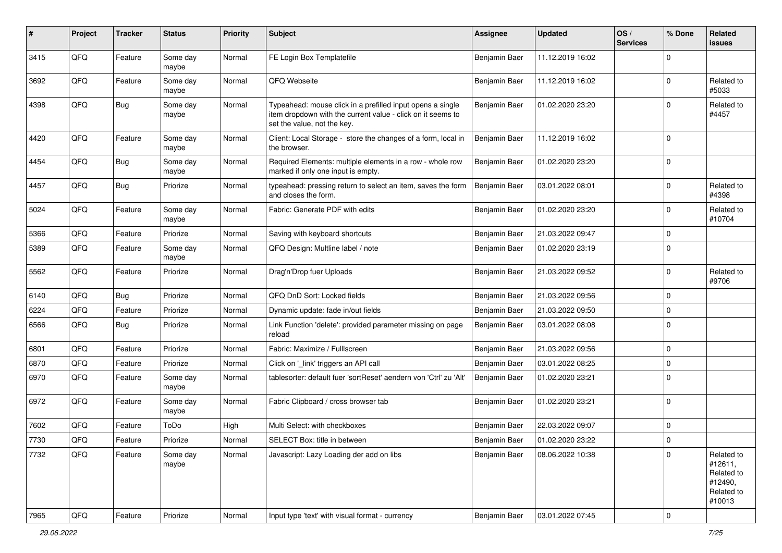| $\#$ | Project | <b>Tracker</b> | <b>Status</b>     | <b>Priority</b> | Subject                                                                                                                                                  | <b>Assignee</b> | <b>Updated</b>   | OS/<br><b>Services</b> | % Done      | Related<br><b>issues</b>                                               |
|------|---------|----------------|-------------------|-----------------|----------------------------------------------------------------------------------------------------------------------------------------------------------|-----------------|------------------|------------------------|-------------|------------------------------------------------------------------------|
| 3415 | QFQ     | Feature        | Some day<br>maybe | Normal          | FE Login Box Templatefile                                                                                                                                | Benjamin Baer   | 11.12.2019 16:02 |                        | $\Omega$    |                                                                        |
| 3692 | QFQ     | Feature        | Some day<br>maybe | Normal          | QFQ Webseite                                                                                                                                             | Benjamin Baer   | 11.12.2019 16:02 |                        | $\mathbf 0$ | Related to<br>#5033                                                    |
| 4398 | QFQ     | Bug            | Some day<br>maybe | Normal          | Typeahead: mouse click in a prefilled input opens a single<br>item dropdown with the current value - click on it seems to<br>set the value, not the key. | Benjamin Baer   | 01.02.2020 23:20 |                        | $\Omega$    | Related to<br>#4457                                                    |
| 4420 | QFQ     | Feature        | Some day<br>maybe | Normal          | Client: Local Storage - store the changes of a form, local in<br>the browser.                                                                            | Benjamin Baer   | 11.12.2019 16:02 |                        | $\Omega$    |                                                                        |
| 4454 | QFQ     | Bug            | Some day<br>maybe | Normal          | Required Elements: multiple elements in a row - whole row<br>marked if only one input is empty.                                                          | Benjamin Baer   | 01.02.2020 23:20 |                        | $\mathbf 0$ |                                                                        |
| 4457 | QFQ     | <b>Bug</b>     | Priorize          | Normal          | typeahead: pressing return to select an item, saves the form<br>and closes the form.                                                                     | Benjamin Baer   | 03.01.2022 08:01 |                        | $\mathbf 0$ | Related to<br>#4398                                                    |
| 5024 | QFQ     | Feature        | Some day<br>maybe | Normal          | Fabric: Generate PDF with edits                                                                                                                          | Benjamin Baer   | 01.02.2020 23:20 |                        | $\Omega$    | Related to<br>#10704                                                   |
| 5366 | QFQ     | Feature        | Priorize          | Normal          | Saving with keyboard shortcuts                                                                                                                           | Benjamin Baer   | 21.03.2022 09:47 |                        | $\Omega$    |                                                                        |
| 5389 | QFQ     | Feature        | Some day<br>maybe | Normal          | QFQ Design: Multline label / note                                                                                                                        | Benjamin Baer   | 01.02.2020 23:19 |                        | $\Omega$    |                                                                        |
| 5562 | QFQ     | Feature        | Priorize          | Normal          | Drag'n'Drop fuer Uploads                                                                                                                                 | Benjamin Baer   | 21.03.2022 09:52 |                        | $\Omega$    | Related to<br>#9706                                                    |
| 6140 | QFQ     | Bug            | Priorize          | Normal          | QFQ DnD Sort: Locked fields                                                                                                                              | Benjamin Baer   | 21.03.2022 09:56 |                        | $\mathbf 0$ |                                                                        |
| 6224 | QFQ     | Feature        | Priorize          | Normal          | Dynamic update: fade in/out fields                                                                                                                       | Benjamin Baer   | 21.03.2022 09:50 |                        | $\Omega$    |                                                                        |
| 6566 | QFQ     | Bug            | Priorize          | Normal          | Link Function 'delete': provided parameter missing on page<br>reload                                                                                     | Benjamin Baer   | 03.01.2022 08:08 |                        | 0           |                                                                        |
| 6801 | QFQ     | Feature        | Priorize          | Normal          | Fabric: Maximize / FullIscreen                                                                                                                           | Benjamin Baer   | 21.03.2022 09:56 |                        | $\Omega$    |                                                                        |
| 6870 | QFQ     | Feature        | Priorize          | Normal          | Click on '_link' triggers an API call                                                                                                                    | Benjamin Baer   | 03.01.2022 08:25 |                        | $\Omega$    |                                                                        |
| 6970 | QFQ     | Feature        | Some day<br>maybe | Normal          | tablesorter: default fuer 'sortReset' aendern von 'Ctrl' zu 'Alt'                                                                                        | Benjamin Baer   | 01.02.2020 23:21 |                        | $\Omega$    |                                                                        |
| 6972 | QFQ     | Feature        | Some day<br>maybe | Normal          | Fabric Clipboard / cross browser tab                                                                                                                     | Benjamin Baer   | 01.02.2020 23:21 |                        | $\Omega$    |                                                                        |
| 7602 | QFQ     | Feature        | ToDo              | High            | Multi Select: with checkboxes                                                                                                                            | Benjamin Baer   | 22.03.2022 09:07 |                        | $\mathbf 0$ |                                                                        |
| 7730 | QFQ     | Feature        | Priorize          | Normal          | SELECT Box: title in between                                                                                                                             | Benjamin Baer   | 01.02.2020 23:22 |                        | $\Omega$    |                                                                        |
| 7732 | QFQ     | Feature        | Some day<br>maybe | Normal          | Javascript: Lazy Loading der add on libs                                                                                                                 | Benjamin Baer   | 08.06.2022 10:38 |                        | $\Omega$    | Related to<br>#12611,<br>Related to<br>#12490,<br>Related to<br>#10013 |
| 7965 | QFG     | Feature        | Priorize          | Normal          | Input type 'text' with visual format - currency                                                                                                          | Benjamin Baer   | 03.01.2022 07:45 |                        | 0           |                                                                        |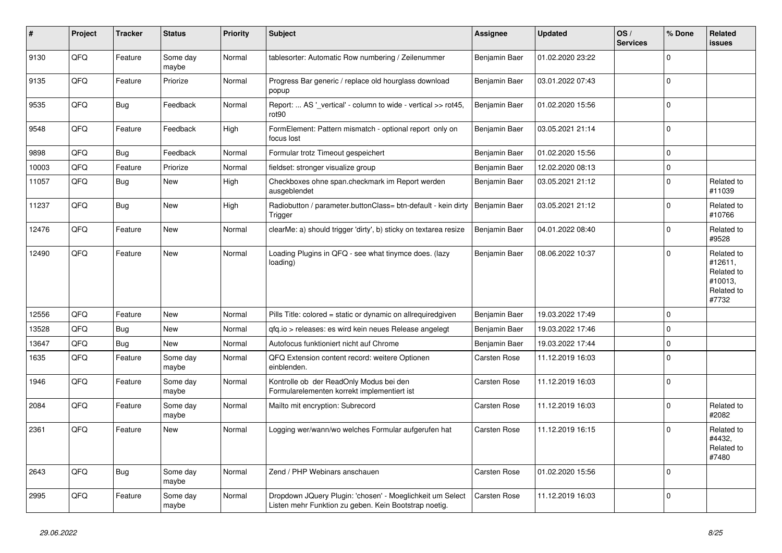| #     | Project | <b>Tracker</b> | <b>Status</b>     | <b>Priority</b> | <b>Subject</b>                                                                                                     | <b>Assignee</b>     | <b>Updated</b>   | OS/<br><b>Services</b> | % Done      | Related<br><b>issues</b>                                              |
|-------|---------|----------------|-------------------|-----------------|--------------------------------------------------------------------------------------------------------------------|---------------------|------------------|------------------------|-------------|-----------------------------------------------------------------------|
| 9130  | QFQ     | Feature        | Some day<br>maybe | Normal          | tablesorter: Automatic Row numbering / Zeilenummer                                                                 | Benjamin Baer       | 01.02.2020 23:22 |                        | $\Omega$    |                                                                       |
| 9135  | QFQ     | Feature        | Priorize          | Normal          | Progress Bar generic / replace old hourglass download<br>popup                                                     | Benjamin Baer       | 03.01.2022 07:43 |                        | $\Omega$    |                                                                       |
| 9535  | QFQ     | <b>Bug</b>     | Feedback          | Normal          | Report:  AS ' vertical' - column to wide - vertical >> rot45,<br>rot <sub>90</sub>                                 | Benjamin Baer       | 01.02.2020 15:56 |                        | $\Omega$    |                                                                       |
| 9548  | QFQ     | Feature        | Feedback          | High            | FormElement: Pattern mismatch - optional report only on<br>focus lost                                              | Benjamin Baer       | 03.05.2021 21:14 |                        | $\Omega$    |                                                                       |
| 9898  | QFQ     | <b>Bug</b>     | Feedback          | Normal          | Formular trotz Timeout gespeichert                                                                                 | Benjamin Baer       | 01.02.2020 15:56 |                        | $\mathbf 0$ |                                                                       |
| 10003 | QFQ     | Feature        | Priorize          | Normal          | fieldset: stronger visualize group                                                                                 | Benjamin Baer       | 12.02.2020 08:13 |                        | $\mathbf 0$ |                                                                       |
| 11057 | QFQ     | <b>Bug</b>     | New               | High            | Checkboxes ohne span.checkmark im Report werden<br>ausgeblendet                                                    | Benjamin Baer       | 03.05.2021 21:12 |                        | $\Omega$    | Related to<br>#11039                                                  |
| 11237 | QFQ     | <b>Bug</b>     | <b>New</b>        | High            | Radiobutton / parameter.buttonClass= btn-default - kein dirty<br>Trigger                                           | Benjamin Baer       | 03.05.2021 21:12 |                        | $\Omega$    | Related to<br>#10766                                                  |
| 12476 | QFQ     | Feature        | <b>New</b>        | Normal          | clearMe: a) should trigger 'dirty', b) sticky on textarea resize                                                   | Benjamin Baer       | 04.01.2022 08:40 |                        | $\Omega$    | Related to<br>#9528                                                   |
| 12490 | QFQ     | Feature        | <b>New</b>        | Normal          | Loading Plugins in QFQ - see what tinymce does. (lazy<br>loading)                                                  | Benjamin Baer       | 08.06.2022 10:37 |                        | $\Omega$    | Related to<br>#12611,<br>Related to<br>#10013,<br>Related to<br>#7732 |
| 12556 | QFQ     | Feature        | <b>New</b>        | Normal          | Pills Title: colored = static or dynamic on allrequiredgiven                                                       | Benjamin Baer       | 19.03.2022 17:49 |                        | $\mathbf 0$ |                                                                       |
| 13528 | QFQ     | <b>Bug</b>     | <b>New</b>        | Normal          | gfg.io > releases: es wird kein neues Release angelegt                                                             | Benjamin Baer       | 19.03.2022 17:46 |                        | $\mathbf 0$ |                                                                       |
| 13647 | QFQ     | Bug            | <b>New</b>        | Normal          | Autofocus funktioniert nicht auf Chrome                                                                            | Benjamin Baer       | 19.03.2022 17:44 |                        | $\mathbf 0$ |                                                                       |
| 1635  | QFQ     | Feature        | Some day<br>maybe | Normal          | QFQ Extension content record: weitere Optionen<br>einblenden.                                                      | <b>Carsten Rose</b> | 11.12.2019 16:03 |                        | $\Omega$    |                                                                       |
| 1946  | QFQ     | Feature        | Some day<br>maybe | Normal          | Kontrolle ob der ReadOnly Modus bei den<br>Formularelementen korrekt implementiert ist                             | <b>Carsten Rose</b> | 11.12.2019 16:03 |                        | $\Omega$    |                                                                       |
| 2084  | QFQ     | Feature        | Some day<br>maybe | Normal          | Mailto mit encryption: Subrecord                                                                                   | <b>Carsten Rose</b> | 11.12.2019 16:03 |                        | $\Omega$    | Related to<br>#2082                                                   |
| 2361  | QFQ     | Feature        | New               | Normal          | Logging wer/wann/wo welches Formular aufgerufen hat                                                                | <b>Carsten Rose</b> | 11.12.2019 16:15 |                        | $\Omega$    | Related to<br>#4432,<br>Related to<br>#7480                           |
| 2643  | QFQ     | <b>Bug</b>     | Some day<br>maybe | Normal          | Zend / PHP Webinars anschauen                                                                                      | <b>Carsten Rose</b> | 01.02.2020 15:56 |                        | $\Omega$    |                                                                       |
| 2995  | QFQ     | Feature        | Some day<br>maybe | Normal          | Dropdown JQuery Plugin: 'chosen' - Moeglichkeit um Select<br>Listen mehr Funktion zu geben. Kein Bootstrap noetig. | Carsten Rose        | 11.12.2019 16:03 |                        | $\Omega$    |                                                                       |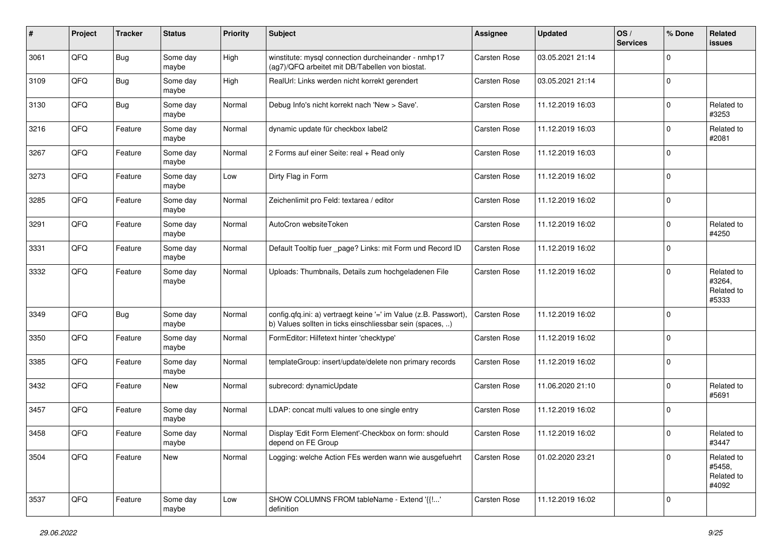| #    | Project | <b>Tracker</b> | <b>Status</b>     | <b>Priority</b> | Subject                                                                                                                       | <b>Assignee</b>     | <b>Updated</b>   | OS/<br><b>Services</b> | % Done      | Related<br>issues                           |
|------|---------|----------------|-------------------|-----------------|-------------------------------------------------------------------------------------------------------------------------------|---------------------|------------------|------------------------|-------------|---------------------------------------------|
| 3061 | QFQ     | Bug            | Some day<br>maybe | High            | winstitute: mysql connection durcheinander - nmhp17<br>(ag7)/QFQ arbeitet mit DB/Tabellen von biostat.                        | <b>Carsten Rose</b> | 03.05.2021 21:14 |                        | $\Omega$    |                                             |
| 3109 | QFQ     | Bug            | Some day<br>maybe | High            | RealUrl: Links werden nicht korrekt gerendert                                                                                 | <b>Carsten Rose</b> | 03.05.2021 21:14 |                        | $\Omega$    |                                             |
| 3130 | QFQ     | Bug            | Some day<br>maybe | Normal          | Debug Info's nicht korrekt nach 'New > Save'.                                                                                 | <b>Carsten Rose</b> | 11.12.2019 16:03 |                        | $\Omega$    | Related to<br>#3253                         |
| 3216 | QFQ     | Feature        | Some day<br>maybe | Normal          | dynamic update für checkbox label2                                                                                            | <b>Carsten Rose</b> | 11.12.2019 16:03 |                        | $\Omega$    | Related to<br>#2081                         |
| 3267 | QFQ     | Feature        | Some day<br>maybe | Normal          | 2 Forms auf einer Seite: real + Read only                                                                                     | <b>Carsten Rose</b> | 11.12.2019 16:03 |                        | $\Omega$    |                                             |
| 3273 | QFQ     | Feature        | Some day<br>maybe | Low             | Dirty Flag in Form                                                                                                            | <b>Carsten Rose</b> | 11.12.2019 16:02 |                        | $\Omega$    |                                             |
| 3285 | QFQ     | Feature        | Some day<br>maybe | Normal          | Zeichenlimit pro Feld: textarea / editor                                                                                      | <b>Carsten Rose</b> | 11.12.2019 16:02 |                        | $\Omega$    |                                             |
| 3291 | QFQ     | Feature        | Some day<br>maybe | Normal          | AutoCron websiteToken                                                                                                         | <b>Carsten Rose</b> | 11.12.2019 16:02 |                        | 0           | Related to<br>#4250                         |
| 3331 | QFQ     | Feature        | Some day<br>maybe | Normal          | Default Tooltip fuer _page? Links: mit Form und Record ID                                                                     | <b>Carsten Rose</b> | 11.12.2019 16:02 |                        | 0           |                                             |
| 3332 | QFQ     | Feature        | Some day<br>maybe | Normal          | Uploads: Thumbnails, Details zum hochgeladenen File                                                                           | <b>Carsten Rose</b> | 11.12.2019 16:02 |                        | $\Omega$    | Related to<br>#3264,<br>Related to<br>#5333 |
| 3349 | QFQ     | Bug            | Some day<br>maybe | Normal          | config.qfq.ini: a) vertraegt keine '=' im Value (z.B. Passwort),<br>b) Values sollten in ticks einschliessbar sein (spaces, ) | <b>Carsten Rose</b> | 11.12.2019 16:02 |                        | $\Omega$    |                                             |
| 3350 | QFQ     | Feature        | Some day<br>maybe | Normal          | FormEditor: Hilfetext hinter 'checktype'                                                                                      | <b>Carsten Rose</b> | 11.12.2019 16:02 |                        | $\Omega$    |                                             |
| 3385 | QFQ     | Feature        | Some day<br>maybe | Normal          | templateGroup: insert/update/delete non primary records                                                                       | <b>Carsten Rose</b> | 11.12.2019 16:02 |                        | $\Omega$    |                                             |
| 3432 | QFQ     | Feature        | <b>New</b>        | Normal          | subrecord: dynamicUpdate                                                                                                      | <b>Carsten Rose</b> | 11.06.2020 21:10 |                        | $\Omega$    | Related to<br>#5691                         |
| 3457 | QFQ     | Feature        | Some day<br>maybe | Normal          | LDAP: concat multi values to one single entry                                                                                 | Carsten Rose        | 11.12.2019 16:02 |                        | $\Omega$    |                                             |
| 3458 | QFQ     | Feature        | Some day<br>maybe | Normal          | Display 'Edit Form Element'-Checkbox on form: should<br>depend on FE Group                                                    | <b>Carsten Rose</b> | 11.12.2019 16:02 |                        | $\Omega$    | Related to<br>#3447                         |
| 3504 | QFG     | Feature        | New               | Normal          | Logging: welche Action FEs werden wann wie ausgefuehrt                                                                        | <b>Carsten Rose</b> | 01.02.2020 23:21 |                        | $\Omega$    | Related to<br>#5458,<br>Related to<br>#4092 |
| 3537 | QFG     | Feature        | Some day<br>maybe | Low             | SHOW COLUMNS FROM tableName - Extend '{{!'<br>definition                                                                      | Carsten Rose        | 11.12.2019 16:02 |                        | $\mathbf 0$ |                                             |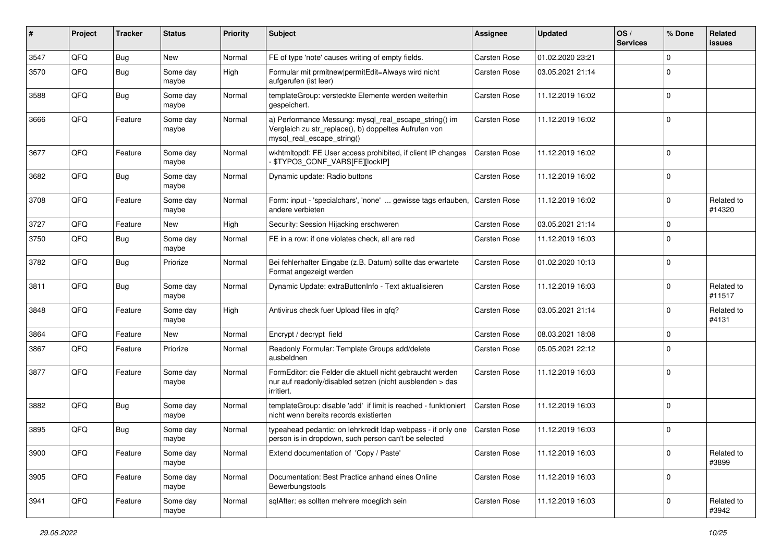| #    | Project | <b>Tracker</b> | <b>Status</b>     | <b>Priority</b> | Subject                                                                                                                                      | <b>Assignee</b>     | <b>Updated</b>   | OS/<br><b>Services</b> | % Done      | Related<br>issues    |
|------|---------|----------------|-------------------|-----------------|----------------------------------------------------------------------------------------------------------------------------------------------|---------------------|------------------|------------------------|-------------|----------------------|
| 3547 | QFQ     | Bug            | <b>New</b>        | Normal          | FE of type 'note' causes writing of empty fields.                                                                                            | Carsten Rose        | 01.02.2020 23:21 |                        | $\Omega$    |                      |
| 3570 | QFQ     | <b>Bug</b>     | Some day<br>maybe | High            | Formular mit prmitnew permitEdit=Always wird nicht<br>aufgerufen (ist leer)                                                                  | <b>Carsten Rose</b> | 03.05.2021 21:14 |                        | $\Omega$    |                      |
| 3588 | QFQ     | Bug            | Some day<br>maybe | Normal          | templateGroup: versteckte Elemente werden weiterhin<br>gespeichert.                                                                          | <b>Carsten Rose</b> | 11.12.2019 16:02 |                        | $\Omega$    |                      |
| 3666 | QFQ     | Feature        | Some day<br>maybe | Normal          | a) Performance Messung: mysql_real_escape_string() im<br>Vergleich zu str_replace(), b) doppeltes Aufrufen von<br>mysql_real_escape_string() | <b>Carsten Rose</b> | 11.12.2019 16:02 |                        | $\Omega$    |                      |
| 3677 | QFQ     | Feature        | Some day<br>maybe | Normal          | wkhtmltopdf: FE User access prohibited, if client IP changes<br><b>\$TYPO3 CONF VARS[FE][lockIP]</b>                                         | <b>Carsten Rose</b> | 11.12.2019 16:02 |                        | $\Omega$    |                      |
| 3682 | QFQ     | Bug            | Some day<br>maybe | Normal          | Dynamic update: Radio buttons                                                                                                                | Carsten Rose        | 11.12.2019 16:02 |                        | $\Omega$    |                      |
| 3708 | QFQ     | Feature        | Some day<br>maybe | Normal          | Form: input - 'specialchars', 'none'  gewisse tags erlauben,<br>andere verbieten                                                             | <b>Carsten Rose</b> | 11.12.2019 16:02 |                        | $\Omega$    | Related to<br>#14320 |
| 3727 | QFQ     | Feature        | New               | High            | Security: Session Hijacking erschweren                                                                                                       | <b>Carsten Rose</b> | 03.05.2021 21:14 |                        | 0           |                      |
| 3750 | QFQ     | Bug            | Some day<br>maybe | Normal          | FE in a row: if one violates check, all are red                                                                                              | <b>Carsten Rose</b> | 11.12.2019 16:03 |                        | $\Omega$    |                      |
| 3782 | QFQ     | Bug            | Priorize          | Normal          | Bei fehlerhafter Eingabe (z.B. Datum) sollte das erwartete<br>Format angezeigt werden                                                        | <b>Carsten Rose</b> | 01.02.2020 10:13 |                        | $\Omega$    |                      |
| 3811 | QFQ     | <b>Bug</b>     | Some day<br>maybe | Normal          | Dynamic Update: extraButtonInfo - Text aktualisieren                                                                                         | <b>Carsten Rose</b> | 11.12.2019 16:03 |                        | $\Omega$    | Related to<br>#11517 |
| 3848 | QFQ     | Feature        | Some day<br>maybe | High            | Antivirus check fuer Upload files in qfq?                                                                                                    | Carsten Rose        | 03.05.2021 21:14 |                        | $\Omega$    | Related to<br>#4131  |
| 3864 | QFQ     | Feature        | New               | Normal          | Encrypt / decrypt field                                                                                                                      | <b>Carsten Rose</b> | 08.03.2021 18:08 |                        | 0           |                      |
| 3867 | QFQ     | Feature        | Priorize          | Normal          | Readonly Formular: Template Groups add/delete<br>ausbeldnen                                                                                  | <b>Carsten Rose</b> | 05.05.2021 22:12 |                        | $\Omega$    |                      |
| 3877 | QFQ     | Feature        | Some day<br>maybe | Normal          | FormEditor: die Felder die aktuell nicht gebraucht werden<br>nur auf readonly/disabled setzen (nicht ausblenden > das<br>irritiert.          | Carsten Rose        | 11.12.2019 16:03 |                        | $\Omega$    |                      |
| 3882 | QFQ     | <b>Bug</b>     | Some day<br>maybe | Normal          | templateGroup: disable 'add' if limit is reached - funktioniert<br>nicht wenn bereits records existierten                                    | <b>Carsten Rose</b> | 11.12.2019 16:03 |                        | $\Omega$    |                      |
| 3895 | QFQ     | Bug            | Some day<br>maybe | Normal          | typeahead pedantic: on lehrkredit ldap webpass - if only one<br>person is in dropdown, such person can't be selected                         | <b>Carsten Rose</b> | 11.12.2019 16:03 |                        | $\Omega$    |                      |
| 3900 | QFQ     | Feature        | Some day<br>maybe | Normal          | Extend documentation of 'Copy / Paste'                                                                                                       | Carsten Rose        | 11.12.2019 16:03 |                        | $\mathbf 0$ | Related to<br>#3899  |
| 3905 | QFQ     | Feature        | Some day<br>maybe | Normal          | Documentation: Best Practice anhand eines Online<br>Bewerbungstools                                                                          | Carsten Rose        | 11.12.2019 16:03 |                        | $\mathbf 0$ |                      |
| 3941 | QFQ     | Feature        | Some day<br>maybe | Normal          | sqlAfter: es sollten mehrere moeglich sein                                                                                                   | Carsten Rose        | 11.12.2019 16:03 |                        | 0           | Related to<br>#3942  |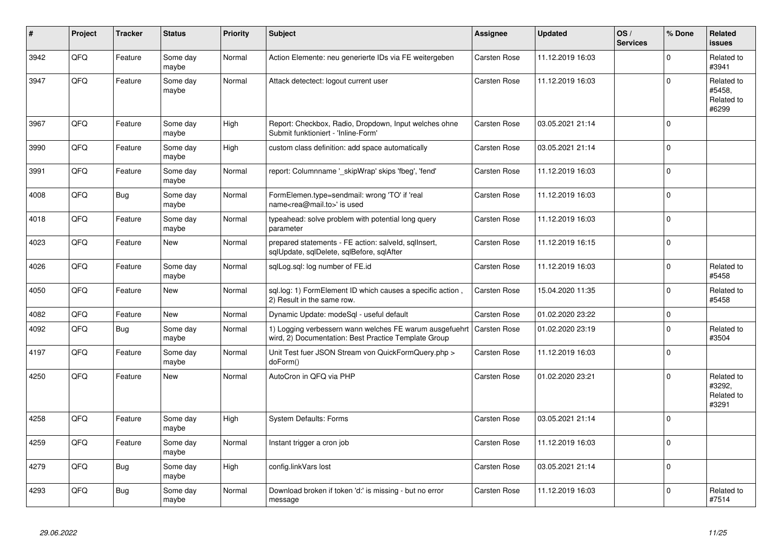| #    | Project | <b>Tracker</b> | <b>Status</b>     | <b>Priority</b> | <b>Subject</b>                                                                                                  | <b>Assignee</b>     | <b>Updated</b>   | OS/<br><b>Services</b> | % Done      | Related<br><b>issues</b>                    |
|------|---------|----------------|-------------------|-----------------|-----------------------------------------------------------------------------------------------------------------|---------------------|------------------|------------------------|-------------|---------------------------------------------|
| 3942 | QFQ     | Feature        | Some day<br>maybe | Normal          | Action Elemente: neu generierte IDs via FE weitergeben                                                          | <b>Carsten Rose</b> | 11.12.2019 16:03 |                        | $\Omega$    | Related to<br>#3941                         |
| 3947 | QFQ     | Feature        | Some day<br>maybe | Normal          | Attack detectect: logout current user                                                                           | Carsten Rose        | 11.12.2019 16:03 |                        | $\Omega$    | Related to<br>#5458,<br>Related to<br>#6299 |
| 3967 | QFQ     | Feature        | Some day<br>maybe | High            | Report: Checkbox, Radio, Dropdown, Input welches ohne<br>Submit funktioniert - 'Inline-Form'                    | <b>Carsten Rose</b> | 03.05.2021 21:14 |                        | $\Omega$    |                                             |
| 3990 | QFQ     | Feature        | Some day<br>maybe | High            | custom class definition: add space automatically                                                                | <b>Carsten Rose</b> | 03.05.2021 21:14 |                        | $\Omega$    |                                             |
| 3991 | QFQ     | Feature        | Some day<br>maybe | Normal          | report: Columnname '_skipWrap' skips 'fbeg', 'fend'                                                             | Carsten Rose        | 11.12.2019 16:03 |                        | $\Omega$    |                                             |
| 4008 | QFQ     | Bug            | Some day<br>maybe | Normal          | FormElemen.type=sendmail: wrong 'TO' if 'real<br>name <rea@mail.to>' is used</rea@mail.to>                      | Carsten Rose        | 11.12.2019 16:03 |                        | $\Omega$    |                                             |
| 4018 | QFQ     | Feature        | Some day<br>maybe | Normal          | typeahead: solve problem with potential long query<br>parameter                                                 | <b>Carsten Rose</b> | 11.12.2019 16:03 |                        | $\Omega$    |                                             |
| 4023 | QFQ     | Feature        | New               | Normal          | prepared statements - FE action: salveld, sqllnsert,<br>sqlUpdate, sqlDelete, sqlBefore, sqlAfter               | Carsten Rose        | 11.12.2019 16:15 |                        | $\mathbf 0$ |                                             |
| 4026 | QFQ     | Feature        | Some day<br>maybe | Normal          | sqlLog.sql: log number of FE.id                                                                                 | Carsten Rose        | 11.12.2019 16:03 |                        | $\Omega$    | Related to<br>#5458                         |
| 4050 | QFQ     | Feature        | <b>New</b>        | Normal          | sgl.log: 1) FormElement ID which causes a specific action,<br>2) Result in the same row.                        | Carsten Rose        | 15.04.2020 11:35 |                        | $\Omega$    | Related to<br>#5458                         |
| 4082 | QFQ     | Feature        | <b>New</b>        | Normal          | Dynamic Update: modeSql - useful default                                                                        | <b>Carsten Rose</b> | 01.02.2020 23:22 |                        | $\Omega$    |                                             |
| 4092 | QFQ     | <b>Bug</b>     | Some day<br>maybe | Normal          | 1) Logging verbessern wann welches FE warum ausgefuehrt<br>wird, 2) Documentation: Best Practice Template Group | <b>Carsten Rose</b> | 01.02.2020 23:19 |                        | $\Omega$    | Related to<br>#3504                         |
| 4197 | QFQ     | Feature        | Some day<br>maybe | Normal          | Unit Test fuer JSON Stream von QuickFormQuery.php ><br>doForm()                                                 | Carsten Rose        | 11.12.2019 16:03 |                        | $\Omega$    |                                             |
| 4250 | QFQ     | Feature        | <b>New</b>        | Normal          | AutoCron in QFQ via PHP                                                                                         | Carsten Rose        | 01.02.2020 23:21 |                        | $\Omega$    | Related to<br>#3292,<br>Related to<br>#3291 |
| 4258 | QFQ     | Feature        | Some day<br>maybe | High            | <b>System Defaults: Forms</b>                                                                                   | Carsten Rose        | 03.05.2021 21:14 |                        | $\Omega$    |                                             |
| 4259 | QFQ     | Feature        | Some day<br>maybe | Normal          | Instant trigger a cron job                                                                                      | Carsten Rose        | 11.12.2019 16:03 |                        | $\Omega$    |                                             |
| 4279 | QFQ     | Bug            | Some day<br>maybe | High            | config.linkVars lost                                                                                            | Carsten Rose        | 03.05.2021 21:14 |                        | $\mathbf 0$ |                                             |
| 4293 | QFQ     | Bug            | Some day<br>maybe | Normal          | Download broken if token 'd:' is missing - but no error<br>message                                              | <b>Carsten Rose</b> | 11.12.2019 16:03 |                        | $\Omega$    | Related to<br>#7514                         |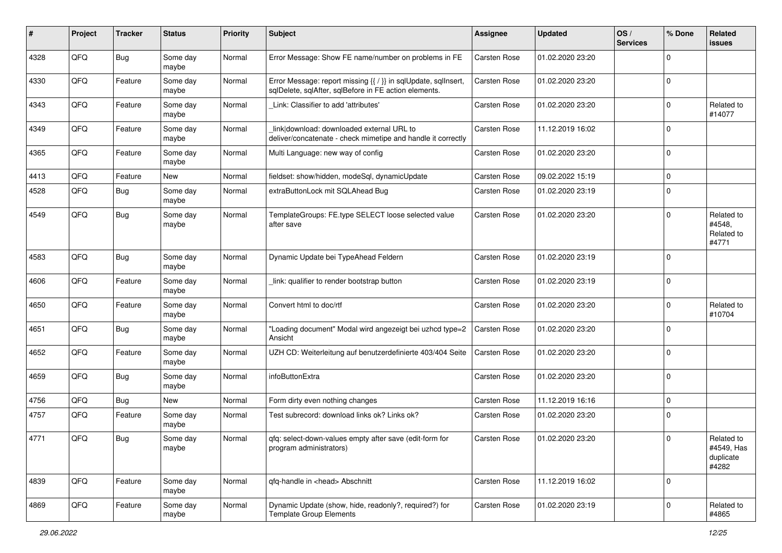| #    | Project | <b>Tracker</b> | <b>Status</b>     | <b>Priority</b> | Subject                                                                                                                 | <b>Assignee</b>     | <b>Updated</b>   | OS/<br><b>Services</b> | % Done      | Related<br>issues                              |
|------|---------|----------------|-------------------|-----------------|-------------------------------------------------------------------------------------------------------------------------|---------------------|------------------|------------------------|-------------|------------------------------------------------|
| 4328 | QFQ     | Bug            | Some day<br>maybe | Normal          | Error Message: Show FE name/number on problems in FE                                                                    | Carsten Rose        | 01.02.2020 23:20 |                        | $\Omega$    |                                                |
| 4330 | QFQ     | Feature        | Some day<br>maybe | Normal          | Error Message: report missing {{ / }} in sqlUpdate, sqlInsert,<br>sqlDelete, sqlAfter, sqlBefore in FE action elements. | <b>Carsten Rose</b> | 01.02.2020 23:20 |                        | 0           |                                                |
| 4343 | QFQ     | Feature        | Some day<br>maybe | Normal          | Link: Classifier to add 'attributes'                                                                                    | <b>Carsten Rose</b> | 01.02.2020 23:20 |                        | 0           | Related to<br>#14077                           |
| 4349 | QFQ     | Feature        | Some day<br>maybe | Normal          | link download: downloaded external URL to<br>deliver/concatenate - check mimetipe and handle it correctly               | <b>Carsten Rose</b> | 11.12.2019 16:02 |                        | $\mathbf 0$ |                                                |
| 4365 | QFQ     | Feature        | Some day<br>maybe | Normal          | Multi Language: new way of config                                                                                       | <b>Carsten Rose</b> | 01.02.2020 23:20 |                        | $\Omega$    |                                                |
| 4413 | QFQ     | Feature        | New               | Normal          | fieldset: show/hidden, modeSql, dynamicUpdate                                                                           | Carsten Rose        | 09.02.2022 15:19 |                        | 0           |                                                |
| 4528 | QFQ     | Bug            | Some day<br>maybe | Normal          | extraButtonLock mit SQLAhead Bug                                                                                        | <b>Carsten Rose</b> | 01.02.2020 23:19 |                        | $\mathbf 0$ |                                                |
| 4549 | QFQ     | Bug            | Some day<br>maybe | Normal          | TemplateGroups: FE.type SELECT loose selected value<br>after save                                                       | <b>Carsten Rose</b> | 01.02.2020 23:20 |                        | $\Omega$    | Related to<br>#4548,<br>Related to<br>#4771    |
| 4583 | QFQ     | Bug            | Some day<br>maybe | Normal          | Dynamic Update bei TypeAhead Feldern                                                                                    | <b>Carsten Rose</b> | 01.02.2020 23:19 |                        | $\mathbf 0$ |                                                |
| 4606 | QFQ     | Feature        | Some day<br>maybe | Normal          | link: qualifier to render bootstrap button                                                                              | Carsten Rose        | 01.02.2020 23:19 |                        | 0           |                                                |
| 4650 | QFQ     | Feature        | Some day<br>maybe | Normal          | Convert html to doc/rtf                                                                                                 | Carsten Rose        | 01.02.2020 23:20 |                        | 0           | Related to<br>#10704                           |
| 4651 | QFQ     | Bug            | Some day<br>maybe | Normal          | "Loading document" Modal wird angezeigt bei uzhcd type=2<br>Ansicht                                                     | <b>Carsten Rose</b> | 01.02.2020 23:20 |                        | $\mathbf 0$ |                                                |
| 4652 | QFQ     | Feature        | Some day<br>maybe | Normal          | UZH CD: Weiterleitung auf benutzerdefinierte 403/404 Seite                                                              | <b>Carsten Rose</b> | 01.02.2020 23:20 |                        | $\mathbf 0$ |                                                |
| 4659 | QFQ     | Bug            | Some day<br>maybe | Normal          | infoButtonExtra                                                                                                         | <b>Carsten Rose</b> | 01.02.2020 23:20 |                        | $\mathbf 0$ |                                                |
| 4756 | QFQ     | Bug            | New               | Normal          | Form dirty even nothing changes                                                                                         | <b>Carsten Rose</b> | 11.12.2019 16:16 |                        | $\mathbf 0$ |                                                |
| 4757 | QFQ     | Feature        | Some day<br>maybe | Normal          | Test subrecord: download links ok? Links ok?                                                                            | <b>Carsten Rose</b> | 01.02.2020 23:20 |                        | 0           |                                                |
| 4771 | QFQ     | Bug            | Some day<br>maybe | Normal          | gfg: select-down-values empty after save (edit-form for<br>program administrators)                                      | <b>Carsten Rose</b> | 01.02.2020 23:20 |                        | 0           | Related to<br>#4549, Has<br>duplicate<br>#4282 |
| 4839 | QFQ     | Feature        | Some day<br>maybe | Normal          | qfq-handle in <head> Abschnitt</head>                                                                                   | <b>Carsten Rose</b> | 11.12.2019 16:02 |                        | 0           |                                                |
| 4869 | QFQ     | Feature        | Some day<br>maybe | Normal          | Dynamic Update (show, hide, readonly?, required?) for<br><b>Template Group Elements</b>                                 | Carsten Rose        | 01.02.2020 23:19 |                        | $\mathbf 0$ | Related to<br>#4865                            |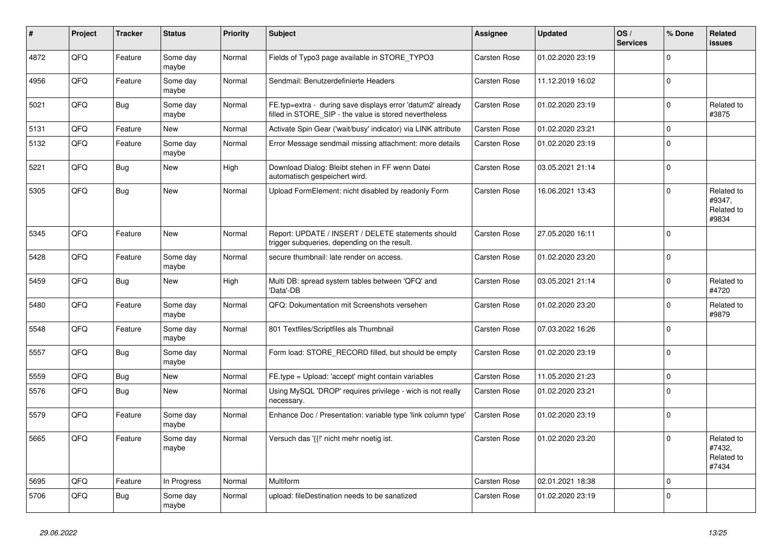| ∦    | Project | <b>Tracker</b> | <b>Status</b>     | <b>Priority</b> | <b>Subject</b>                                                                                                       | Assignee            | <b>Updated</b>   | OS/<br><b>Services</b> | % Done      | Related<br><b>issues</b>                    |
|------|---------|----------------|-------------------|-----------------|----------------------------------------------------------------------------------------------------------------------|---------------------|------------------|------------------------|-------------|---------------------------------------------|
| 4872 | QFQ     | Feature        | Some day<br>maybe | Normal          | Fields of Typo3 page available in STORE TYPO3                                                                        | Carsten Rose        | 01.02.2020 23:19 |                        | $\Omega$    |                                             |
| 4956 | QFQ     | Feature        | Some day<br>maybe | Normal          | Sendmail: Benutzerdefinierte Headers                                                                                 | Carsten Rose        | 11.12.2019 16:02 |                        | $\Omega$    |                                             |
| 5021 | QFQ     | Bug            | Some day<br>maybe | Normal          | FE.typ=extra - during save displays error 'datum2' already<br>filled in STORE SIP - the value is stored nevertheless | <b>Carsten Rose</b> | 01.02.2020 23:19 |                        | $\Omega$    | Related to<br>#3875                         |
| 5131 | QFQ     | Feature        | <b>New</b>        | Normal          | Activate Spin Gear ('wait/busy' indicator) via LINK attribute                                                        | <b>Carsten Rose</b> | 01.02.2020 23:21 |                        | $\mathbf 0$ |                                             |
| 5132 | QFQ     | Feature        | Some day<br>maybe | Normal          | Error Message sendmail missing attachment: more details                                                              | Carsten Rose        | 01.02.2020 23:19 |                        | $\Omega$    |                                             |
| 5221 | QFQ     | Bug            | New               | High            | Download Dialog: Bleibt stehen in FF wenn Datei<br>automatisch gespeichert wird.                                     | Carsten Rose        | 03.05.2021 21:14 |                        | $\Omega$    |                                             |
| 5305 | QFQ     | Bug            | <b>New</b>        | Normal          | Upload FormElement: nicht disabled by readonly Form                                                                  | Carsten Rose        | 16.06.2021 13:43 |                        | $\Omega$    | Related to<br>#9347,<br>Related to<br>#9834 |
| 5345 | QFQ     | Feature        | New               | Normal          | Report: UPDATE / INSERT / DELETE statements should<br>trigger subqueries, depending on the result.                   | <b>Carsten Rose</b> | 27.05.2020 16:11 |                        | $\Omega$    |                                             |
| 5428 | QFQ     | Feature        | Some day<br>maybe | Normal          | secure thumbnail: late render on access.                                                                             | Carsten Rose        | 01.02.2020 23:20 |                        | $\Omega$    |                                             |
| 5459 | QFQ     | Bug            | <b>New</b>        | High            | Multi DB: spread system tables between 'QFQ' and<br>'Data'-DB                                                        | <b>Carsten Rose</b> | 03.05.2021 21:14 |                        | $\Omega$    | Related to<br>#4720                         |
| 5480 | QFQ     | Feature        | Some day<br>maybe | Normal          | QFQ: Dokumentation mit Screenshots versehen                                                                          | Carsten Rose        | 01.02.2020 23:20 |                        | $\Omega$    | Related to<br>#9879                         |
| 5548 | QFQ     | Feature        | Some day<br>maybe | Normal          | 801 Textfiles/Scriptfiles als Thumbnail                                                                              | Carsten Rose        | 07.03.2022 16:26 |                        | $\Omega$    |                                             |
| 5557 | QFQ     | <b>Bug</b>     | Some day<br>maybe | Normal          | Form load: STORE_RECORD filled, but should be empty                                                                  | <b>Carsten Rose</b> | 01.02.2020 23:19 |                        | $\Omega$    |                                             |
| 5559 | QFQ     | Bug            | <b>New</b>        | Normal          | FE.type = Upload: 'accept' might contain variables                                                                   | Carsten Rose        | 11.05.2020 21:23 |                        | $\Omega$    |                                             |
| 5576 | QFQ     | Bug            | <b>New</b>        | Normal          | Using MySQL 'DROP' requires privilege - wich is not really<br>necessary.                                             | <b>Carsten Rose</b> | 01.02.2020 23:21 |                        | $\Omega$    |                                             |
| 5579 | QFQ     | Feature        | Some day<br>maybe | Normal          | Enhance Doc / Presentation: variable type 'link column type'                                                         | Carsten Rose        | 01.02.2020 23:19 |                        | $\Omega$    |                                             |
| 5665 | QFQ     | Feature        | Some day<br>maybe | Normal          | Versuch das '{{!' nicht mehr noetig ist.                                                                             | <b>Carsten Rose</b> | 01.02.2020 23:20 |                        | $\Omega$    | Related to<br>#7432,<br>Related to<br>#7434 |
| 5695 | QFQ     | Feature        | In Progress       | Normal          | <b>Multiform</b>                                                                                                     | Carsten Rose        | 02.01.2021 18:38 |                        | $\Omega$    |                                             |
| 5706 | QFQ     | Bug            | Some day<br>maybe | Normal          | upload: fileDestination needs to be sanatized                                                                        | <b>Carsten Rose</b> | 01.02.2020 23:19 |                        | $\Omega$    |                                             |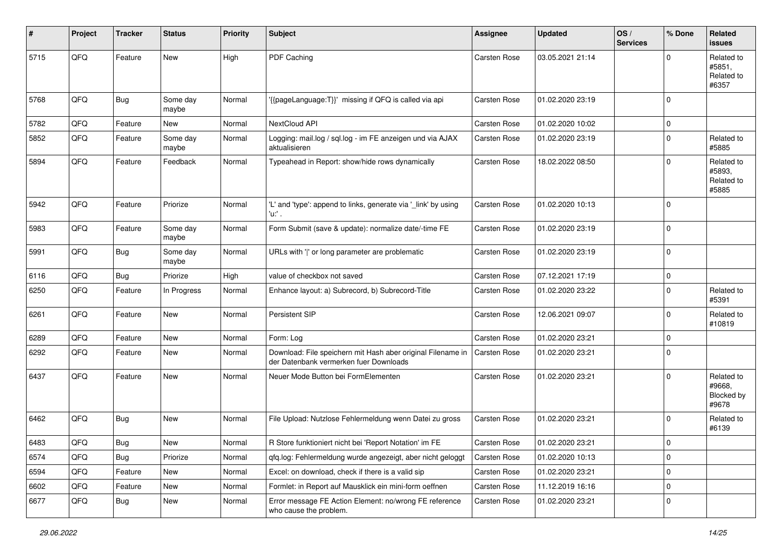| #    | Project        | <b>Tracker</b> | <b>Status</b>     | <b>Priority</b> | Subject                                                                                               | <b>Assignee</b>     | <b>Updated</b>   | OS/<br><b>Services</b> | % Done      | Related<br><b>issues</b>                    |
|------|----------------|----------------|-------------------|-----------------|-------------------------------------------------------------------------------------------------------|---------------------|------------------|------------------------|-------------|---------------------------------------------|
| 5715 | QFQ            | Feature        | <b>New</b>        | High            | PDF Caching                                                                                           | Carsten Rose        | 03.05.2021 21:14 |                        | $\Omega$    | Related to<br>#5851,<br>Related to<br>#6357 |
| 5768 | QFQ            | Bug            | Some day<br>maybe | Normal          | {{pageLanguage:T}}' missing if QFQ is called via api                                                  | Carsten Rose        | 01.02.2020 23:19 |                        | $\Omega$    |                                             |
| 5782 | QFQ            | Feature        | <b>New</b>        | Normal          | NextCloud API                                                                                         | <b>Carsten Rose</b> | 01.02.2020 10:02 |                        | $\mathbf 0$ |                                             |
| 5852 | QFQ            | Feature        | Some day<br>maybe | Normal          | Logging: mail.log / sql.log - im FE anzeigen und via AJAX<br>aktualisieren                            | Carsten Rose        | 01.02.2020 23:19 |                        | 0           | Related to<br>#5885                         |
| 5894 | QFQ            | Feature        | Feedback          | Normal          | Typeahead in Report: show/hide rows dynamically                                                       | Carsten Rose        | 18.02.2022 08:50 |                        | $\Omega$    | Related to<br>#5893,<br>Related to<br>#5885 |
| 5942 | QFQ            | Feature        | Priorize          | Normal          | 'L' and 'type': append to links, generate via '_link' by using<br>'u:' .                              | <b>Carsten Rose</b> | 01.02.2020 10:13 |                        | $\Omega$    |                                             |
| 5983 | QFQ            | Feature        | Some day<br>maybe | Normal          | Form Submit (save & update): normalize date/-time FE                                                  | Carsten Rose        | 01.02.2020 23:19 |                        | $\mathbf 0$ |                                             |
| 5991 | QFQ            | <b>Bug</b>     | Some day<br>maybe | Normal          | URLs with ' ' or long parameter are problematic                                                       | Carsten Rose        | 01.02.2020 23:19 |                        | $\Omega$    |                                             |
| 6116 | QFQ            | Bug            | Priorize          | High            | value of checkbox not saved                                                                           | Carsten Rose        | 07.12.2021 17:19 |                        | $\mathbf 0$ |                                             |
| 6250 | QFQ            | Feature        | In Progress       | Normal          | Enhance layout: a) Subrecord, b) Subrecord-Title                                                      | Carsten Rose        | 01.02.2020 23:22 |                        | $\Omega$    | Related to<br>#5391                         |
| 6261 | QFQ            | Feature        | <b>New</b>        | Normal          | Persistent SIP                                                                                        | Carsten Rose        | 12.06.2021 09:07 |                        | $\mathbf 0$ | Related to<br>#10819                        |
| 6289 | QFQ            | Feature        | <b>New</b>        | Normal          | Form: Log                                                                                             | Carsten Rose        | 01.02.2020 23:21 |                        | $\Omega$    |                                             |
| 6292 | QFQ            | Feature        | <b>New</b>        | Normal          | Download: File speichern mit Hash aber original Filename in<br>der Datenbank vermerken fuer Downloads | <b>Carsten Rose</b> | 01.02.2020 23:21 |                        | $\mathbf 0$ |                                             |
| 6437 | QFQ            | Feature        | New               | Normal          | Neuer Mode Button bei FormElementen                                                                   | Carsten Rose        | 01.02.2020 23:21 |                        | $\mathbf 0$ | Related to<br>#9668,<br>Blocked by<br>#9678 |
| 6462 | QFQ            | <b>Bug</b>     | <b>New</b>        | Normal          | File Upload: Nutzlose Fehlermeldung wenn Datei zu gross                                               | Carsten Rose        | 01.02.2020 23:21 |                        | $\Omega$    | Related to<br>#6139                         |
| 6483 | $\mathsf{QFQ}$ | Bug            | New               | Normal          | R Store funktioniert nicht bei 'Report Notation' im FE                                                | <b>Carsten Rose</b> | 01.02.2020 23:21 |                        | $\pmb{0}$   |                                             |
| 6574 | QFQ            | Bug            | Priorize          | Normal          | qfq.log: Fehlermeldung wurde angezeigt, aber nicht geloggt                                            | Carsten Rose        | 01.02.2020 10:13 |                        | $\mathbf 0$ |                                             |
| 6594 | QFQ            | Feature        | New               | Normal          | Excel: on download, check if there is a valid sip                                                     | Carsten Rose        | 01.02.2020 23:21 |                        | $\mathbf 0$ |                                             |
| 6602 | QFQ            | Feature        | New               | Normal          | Formlet: in Report auf Mausklick ein mini-form oeffnen                                                | Carsten Rose        | 11.12.2019 16:16 |                        | $\mathbf 0$ |                                             |
| 6677 | QFQ            | Bug            | New               | Normal          | Error message FE Action Element: no/wrong FE reference<br>who cause the problem.                      | Carsten Rose        | 01.02.2020 23:21 |                        | 0           |                                             |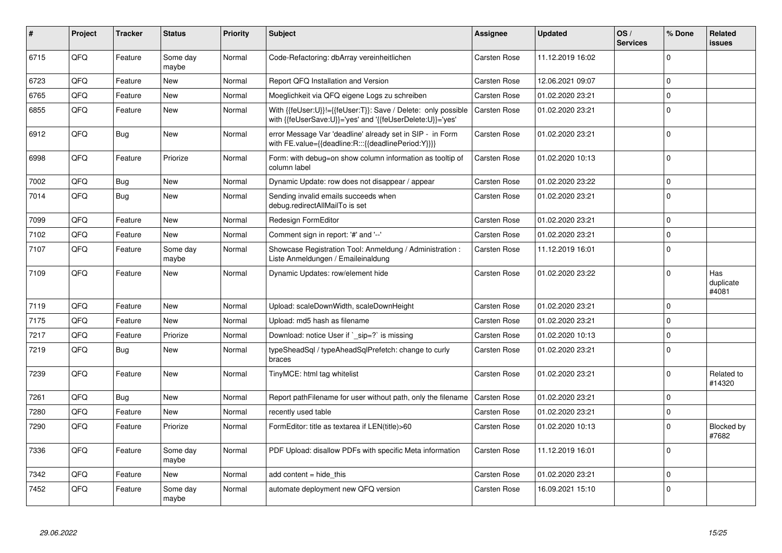| #    | Project | Tracker | <b>Status</b>     | <b>Priority</b> | <b>Subject</b>                                                                                                             | Assignee            | <b>Updated</b>   | OS/<br><b>Services</b> | % Done      | Related<br><b>issues</b>  |
|------|---------|---------|-------------------|-----------------|----------------------------------------------------------------------------------------------------------------------------|---------------------|------------------|------------------------|-------------|---------------------------|
| 6715 | QFQ     | Feature | Some day<br>maybe | Normal          | Code-Refactoring: dbArray vereinheitlichen                                                                                 | <b>Carsten Rose</b> | 11.12.2019 16:02 |                        | $\Omega$    |                           |
| 6723 | QFQ     | Feature | <b>New</b>        | Normal          | Report QFQ Installation and Version                                                                                        | <b>Carsten Rose</b> | 12.06.2021 09:07 |                        | $\Omega$    |                           |
| 6765 | QFQ     | Feature | <b>New</b>        | Normal          | Moeglichkeit via QFQ eigene Logs zu schreiben                                                                              | Carsten Rose        | 01.02.2020 23:21 |                        | $\Omega$    |                           |
| 6855 | QFQ     | Feature | New               | Normal          | With {{feUser:U}}!={{feUser:T}}: Save / Delete: only possible<br>with {{feUserSave:U}}='yes' and '{{feUserDelete:U}}='yes' | <b>Carsten Rose</b> | 01.02.2020 23:21 |                        | $\Omega$    |                           |
| 6912 | QFQ     | Bug     | New               | Normal          | error Message Var 'deadline' already set in SIP - in Form<br>with FE.value={{deadline:R:::{{deadlinePeriod:Y}}}}           | <b>Carsten Rose</b> | 01.02.2020 23:21 |                        | $\Omega$    |                           |
| 6998 | QFQ     | Feature | Priorize          | Normal          | Form: with debug=on show column information as tooltip of<br>column label                                                  | <b>Carsten Rose</b> | 01.02.2020 10:13 |                        | $\Omega$    |                           |
| 7002 | QFQ     | Bug     | <b>New</b>        | Normal          | Dynamic Update: row does not disappear / appear                                                                            | <b>Carsten Rose</b> | 01.02.2020 23:22 |                        | $\Omega$    |                           |
| 7014 | QFQ     | Bug     | <b>New</b>        | Normal          | Sending invalid emails succeeds when<br>debug.redirectAllMailTo is set                                                     | Carsten Rose        | 01.02.2020 23:21 |                        | $\Omega$    |                           |
| 7099 | QFQ     | Feature | New               | Normal          | Redesign FormEditor                                                                                                        | <b>Carsten Rose</b> | 01.02.2020 23:21 |                        | $\mathbf 0$ |                           |
| 7102 | QFQ     | Feature | <b>New</b>        | Normal          | Comment sign in report: '#' and '--'                                                                                       | <b>Carsten Rose</b> | 01.02.2020 23:21 |                        | $\Omega$    |                           |
| 7107 | QFQ     | Feature | Some day<br>maybe | Normal          | Showcase Registration Tool: Anmeldung / Administration :<br>Liste Anmeldungen / Emaileinaldung                             | <b>Carsten Rose</b> | 11.12.2019 16:01 |                        | $\Omega$    |                           |
| 7109 | QFQ     | Feature | New               | Normal          | Dynamic Updates: row/element hide                                                                                          | <b>Carsten Rose</b> | 01.02.2020 23:22 |                        | $\Omega$    | Has<br>duplicate<br>#4081 |
| 7119 | QFQ     | Feature | <b>New</b>        | Normal          | Upload: scaleDownWidth, scaleDownHeight                                                                                    | <b>Carsten Rose</b> | 01.02.2020 23:21 |                        | $\Omega$    |                           |
| 7175 | QFQ     | Feature | New               | Normal          | Upload: md5 hash as filename                                                                                               | <b>Carsten Rose</b> | 01.02.2020 23:21 |                        | $\Omega$    |                           |
| 7217 | QFQ     | Feature | Priorize          | Normal          | Download: notice User if `_sip=?` is missing                                                                               | Carsten Rose        | 01.02.2020 10:13 |                        | $\Omega$    |                           |
| 7219 | QFQ     | Bug     | <b>New</b>        | Normal          | typeSheadSql / typeAheadSqlPrefetch: change to curly<br>braces                                                             | <b>Carsten Rose</b> | 01.02.2020 23:21 |                        | $\Omega$    |                           |
| 7239 | QFQ     | Feature | New               | Normal          | TinyMCE: html tag whitelist                                                                                                | <b>Carsten Rose</b> | 01.02.2020 23:21 |                        | $\Omega$    | Related to<br>#14320      |
| 7261 | QFQ     | Bug     | <b>New</b>        | Normal          | Report pathFilename for user without path, only the filename                                                               | <b>Carsten Rose</b> | 01.02.2020 23:21 |                        | $\Omega$    |                           |
| 7280 | QFQ     | Feature | New               | Normal          | recently used table                                                                                                        | Carsten Rose        | 01.02.2020 23:21 |                        | $\mathbf 0$ |                           |
| 7290 | QFQ     | Feature | Priorize          | Normal          | FormEditor: title as textarea if LEN(title)>60                                                                             | <b>Carsten Rose</b> | 01.02.2020 10:13 |                        | $\Omega$    | Blocked by<br>#7682       |
| 7336 | QFQ     | Feature | Some day<br>maybe | Normal          | PDF Upload: disallow PDFs with specific Meta information                                                                   | Carsten Rose        | 11.12.2019 16:01 |                        | $\Omega$    |                           |
| 7342 | QFQ     | Feature | <b>New</b>        | Normal          | add content = hide_this                                                                                                    | <b>Carsten Rose</b> | 01.02.2020 23:21 |                        | $\Omega$    |                           |
| 7452 | QFQ     | Feature | Some day<br>maybe | Normal          | automate deployment new QFQ version                                                                                        | <b>Carsten Rose</b> | 16.09.2021 15:10 |                        | $\Omega$    |                           |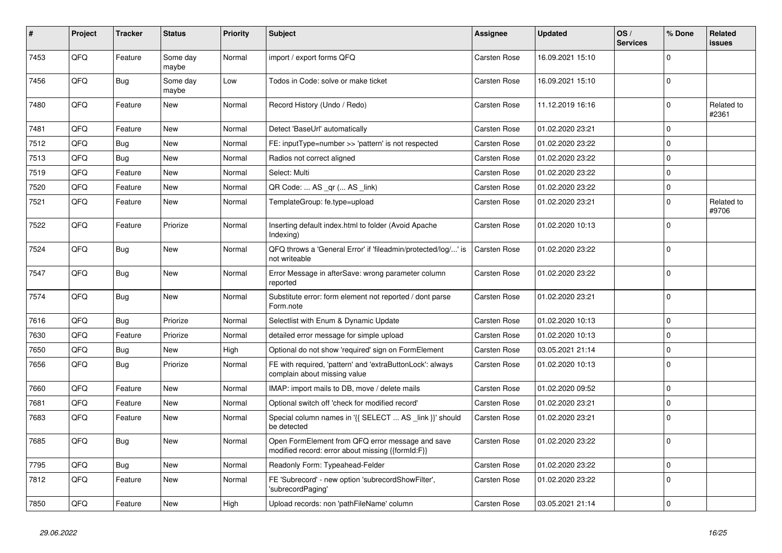| #    | Project | Tracker    | <b>Status</b>     | <b>Priority</b> | <b>Subject</b>                                                                                        | <b>Assignee</b>     | <b>Updated</b>   | OS/<br><b>Services</b> | % Done      | Related<br>issues   |
|------|---------|------------|-------------------|-----------------|-------------------------------------------------------------------------------------------------------|---------------------|------------------|------------------------|-------------|---------------------|
| 7453 | QFQ     | Feature    | Some day<br>maybe | Normal          | import / export forms QFQ                                                                             | <b>Carsten Rose</b> | 16.09.2021 15:10 |                        | $\Omega$    |                     |
| 7456 | QFQ     | <b>Bug</b> | Some day<br>maybe | Low             | Todos in Code: solve or make ticket                                                                   | <b>Carsten Rose</b> | 16.09.2021 15:10 |                        | $\mathbf 0$ |                     |
| 7480 | QFQ     | Feature    | New               | Normal          | Record History (Undo / Redo)                                                                          | Carsten Rose        | 11.12.2019 16:16 |                        | $\Omega$    | Related to<br>#2361 |
| 7481 | QFQ     | Feature    | <b>New</b>        | Normal          | Detect 'BaseUrl' automatically                                                                        | <b>Carsten Rose</b> | 01.02.2020 23:21 |                        | $\Omega$    |                     |
| 7512 | QFQ     | <b>Bug</b> | New               | Normal          | FE: inputType=number >> 'pattern' is not respected                                                    | <b>Carsten Rose</b> | 01.02.2020 23:22 |                        | $\Omega$    |                     |
| 7513 | QFQ     | <b>Bug</b> | <b>New</b>        | Normal          | Radios not correct aligned                                                                            | Carsten Rose        | 01.02.2020 23:22 |                        | $\Omega$    |                     |
| 7519 | QFQ     | Feature    | <b>New</b>        | Normal          | Select: Multi                                                                                         | Carsten Rose        | 01.02.2020 23:22 |                        | $\Omega$    |                     |
| 7520 | QFQ     | Feature    | <b>New</b>        | Normal          | QR Code:  AS _qr ( AS _link)                                                                          | <b>Carsten Rose</b> | 01.02.2020 23:22 |                        | $\Omega$    |                     |
| 7521 | QFQ     | Feature    | New               | Normal          | TemplateGroup: fe.type=upload                                                                         | <b>Carsten Rose</b> | 01.02.2020 23:21 |                        | $\Omega$    | Related to<br>#9706 |
| 7522 | QFQ     | Feature    | Priorize          | Normal          | Inserting default index.html to folder (Avoid Apache<br>Indexing)                                     | <b>Carsten Rose</b> | 01.02.2020 10:13 |                        | $\Omega$    |                     |
| 7524 | QFQ     | Bug        | New               | Normal          | QFQ throws a 'General Error' if 'fileadmin/protected/log/' is<br>not writeable                        | <b>Carsten Rose</b> | 01.02.2020 23:22 |                        | $\Omega$    |                     |
| 7547 | QFQ     | <b>Bug</b> | <b>New</b>        | Normal          | Error Message in afterSave: wrong parameter column<br>reported                                        | <b>Carsten Rose</b> | 01.02.2020 23:22 |                        | $\Omega$    |                     |
| 7574 | QFQ     | Bug        | <b>New</b>        | Normal          | Substitute error: form element not reported / dont parse<br>Form.note                                 | Carsten Rose        | 01.02.2020 23:21 |                        | $\Omega$    |                     |
| 7616 | QFQ     | Bug        | Priorize          | Normal          | Selectlist with Enum & Dynamic Update                                                                 | <b>Carsten Rose</b> | 01.02.2020 10:13 |                        | $\mathbf 0$ |                     |
| 7630 | QFQ     | Feature    | Priorize          | Normal          | detailed error message for simple upload                                                              | <b>Carsten Rose</b> | 01.02.2020 10:13 |                        | $\Omega$    |                     |
| 7650 | QFQ     | Bug        | <b>New</b>        | High            | Optional do not show 'required' sign on FormElement                                                   | Carsten Rose        | 03.05.2021 21:14 |                        | $\Omega$    |                     |
| 7656 | QFQ     | Bug        | Priorize          | Normal          | FE with required, 'pattern' and 'extraButtonLock': always<br>complain about missing value             | Carsten Rose        | 01.02.2020 10:13 |                        | $\Omega$    |                     |
| 7660 | QFQ     | Feature    | New               | Normal          | IMAP: import mails to DB, move / delete mails                                                         | Carsten Rose        | 01.02.2020 09:52 |                        | $\mathbf 0$ |                     |
| 7681 | QFQ     | Feature    | New               | Normal          | Optional switch off 'check for modified record'                                                       | Carsten Rose        | 01.02.2020 23:21 |                        | $\Omega$    |                     |
| 7683 | QFQ     | Feature    | New               | Normal          | Special column names in '{{ SELECT  AS _link }}' should<br>be detected                                | Carsten Rose        | 01.02.2020 23:21 |                        | $\Omega$    |                     |
| 7685 | QFQ     | <b>Bug</b> | New               | Normal          | Open FormElement from QFQ error message and save<br>modified record: error about missing {{formId:F}} | <b>Carsten Rose</b> | 01.02.2020 23:22 |                        | $\Omega$    |                     |
| 7795 | QFQ     | <b>Bug</b> | <b>New</b>        | Normal          | Readonly Form: Typeahead-Felder                                                                       | <b>Carsten Rose</b> | 01.02.2020 23:22 |                        | $\Omega$    |                     |
| 7812 | QFQ     | Feature    | New               | Normal          | FE 'Subrecord' - new option 'subrecordShowFilter',<br>'subrecordPaging'                               | Carsten Rose        | 01.02.2020 23:22 |                        | $\Omega$    |                     |
| 7850 | QFQ     | Feature    | <b>New</b>        | High            | Upload records: non 'pathFileName' column                                                             | <b>Carsten Rose</b> | 03.05.2021 21:14 |                        | $\mathbf 0$ |                     |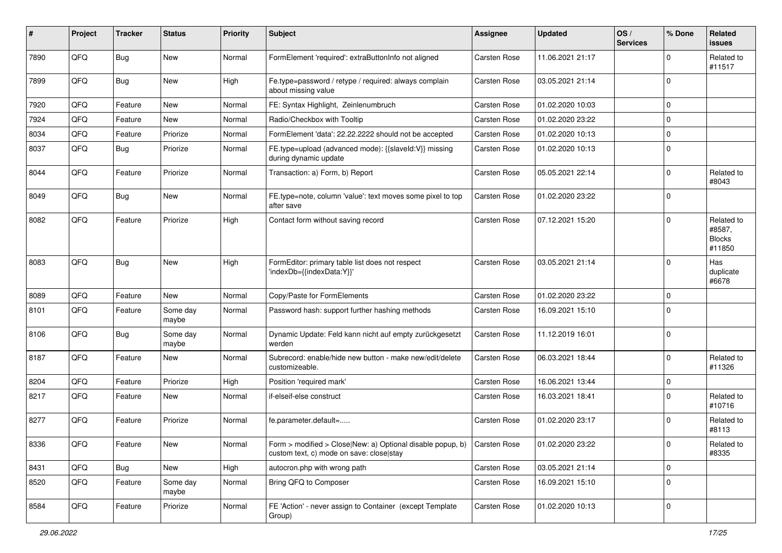| #    | Project | <b>Tracker</b> | <b>Status</b>     | <b>Priority</b> | Subject                                                                                                | <b>Assignee</b>     | <b>Updated</b>   | OS/<br><b>Services</b> | % Done      | Related<br>issues                               |
|------|---------|----------------|-------------------|-----------------|--------------------------------------------------------------------------------------------------------|---------------------|------------------|------------------------|-------------|-------------------------------------------------|
| 7890 | QFQ     | Bug            | <b>New</b>        | Normal          | FormElement 'required': extraButtonInfo not aligned                                                    | <b>Carsten Rose</b> | 11.06.2021 21:17 |                        | $\Omega$    | Related to<br>#11517                            |
| 7899 | QFQ     | Bug            | New               | High            | Fe.type=password / retype / required: always complain<br>about missing value                           | <b>Carsten Rose</b> | 03.05.2021 21:14 |                        | $\Omega$    |                                                 |
| 7920 | QFQ     | Feature        | <b>New</b>        | Normal          | FE: Syntax Highlight, Zeinlenumbruch                                                                   | <b>Carsten Rose</b> | 01.02.2020 10:03 |                        | $\Omega$    |                                                 |
| 7924 | QFQ     | Feature        | New               | Normal          | Radio/Checkbox with Tooltip                                                                            | <b>Carsten Rose</b> | 01.02.2020 23:22 |                        | $\Omega$    |                                                 |
| 8034 | QFQ     | Feature        | Priorize          | Normal          | FormElement 'data': 22.22.2222 should not be accepted                                                  | <b>Carsten Rose</b> | 01.02.2020 10:13 |                        | $\mathbf 0$ |                                                 |
| 8037 | QFQ     | Bug            | Priorize          | Normal          | FE.type=upload (advanced mode): {{slaveId:V}} missing<br>during dynamic update                         | Carsten Rose        | 01.02.2020 10:13 |                        | $\Omega$    |                                                 |
| 8044 | QFQ     | Feature        | Priorize          | Normal          | Transaction: a) Form, b) Report                                                                        | Carsten Rose        | 05.05.2021 22:14 |                        | $\Omega$    | Related to<br>#8043                             |
| 8049 | QFQ     | Bug            | New               | Normal          | FE.type=note, column 'value': text moves some pixel to top<br>after save                               | <b>Carsten Rose</b> | 01.02.2020 23:22 |                        | $\Omega$    |                                                 |
| 8082 | QFQ     | Feature        | Priorize          | High            | Contact form without saving record                                                                     | <b>Carsten Rose</b> | 07.12.2021 15:20 |                        | $\Omega$    | Related to<br>#8587,<br><b>Blocks</b><br>#11850 |
| 8083 | QFQ     | <b>Bug</b>     | New               | High            | FormEditor: primary table list does not respect<br>'indexDb={{indexData:Y}}'                           | <b>Carsten Rose</b> | 03.05.2021 21:14 |                        | $\Omega$    | Has<br>duplicate<br>#6678                       |
| 8089 | QFQ     | Feature        | New               | Normal          | Copy/Paste for FormElements                                                                            | <b>Carsten Rose</b> | 01.02.2020 23:22 |                        | 0           |                                                 |
| 8101 | QFQ     | Feature        | Some day<br>maybe | Normal          | Password hash: support further hashing methods                                                         | Carsten Rose        | 16.09.2021 15:10 |                        | $\Omega$    |                                                 |
| 8106 | QFQ     | Bug            | Some day<br>maybe | Normal          | Dynamic Update: Feld kann nicht auf empty zurückgesetzt<br>werden                                      | Carsten Rose        | 11.12.2019 16:01 |                        | 0           |                                                 |
| 8187 | QFQ     | Feature        | <b>New</b>        | Normal          | Subrecord: enable/hide new button - make new/edit/delete<br>customizeable.                             | <b>Carsten Rose</b> | 06.03.2021 18:44 |                        | $\Omega$    | Related to<br>#11326                            |
| 8204 | QFQ     | Feature        | Priorize          | High            | Position 'required mark'                                                                               | <b>Carsten Rose</b> | 16.06.2021 13:44 |                        | $\mathbf 0$ |                                                 |
| 8217 | QFQ     | Feature        | New               | Normal          | if-elseif-else construct                                                                               | <b>Carsten Rose</b> | 16.03.2021 18:41 |                        | $\Omega$    | Related to<br>#10716                            |
| 8277 | QFQ     | Feature        | Priorize          | Normal          | fe.parameter.default=                                                                                  | Carsten Rose        | 01.02.2020 23:17 |                        | $\Omega$    | Related to<br>#8113                             |
| 8336 | QFQ     | Feature        | New               | Normal          | Form > modified > Close New: a) Optional disable popup, b)<br>custom text, c) mode on save: close stay | Carsten Rose        | 01.02.2020 23:22 |                        | O           | Related to<br>#8335                             |
| 8431 | QFQ     | <b>Bug</b>     | New               | High            | autocron.php with wrong path                                                                           | Carsten Rose        | 03.05.2021 21:14 |                        | 0           |                                                 |
| 8520 | QFQ     | Feature        | Some day<br>maybe | Normal          | Bring QFQ to Composer                                                                                  | Carsten Rose        | 16.09.2021 15:10 |                        | $\mathbf 0$ |                                                 |
| 8584 | QFQ     | Feature        | Priorize          | Normal          | FE 'Action' - never assign to Container (except Template<br>Group)                                     | Carsten Rose        | 01.02.2020 10:13 |                        | 0           |                                                 |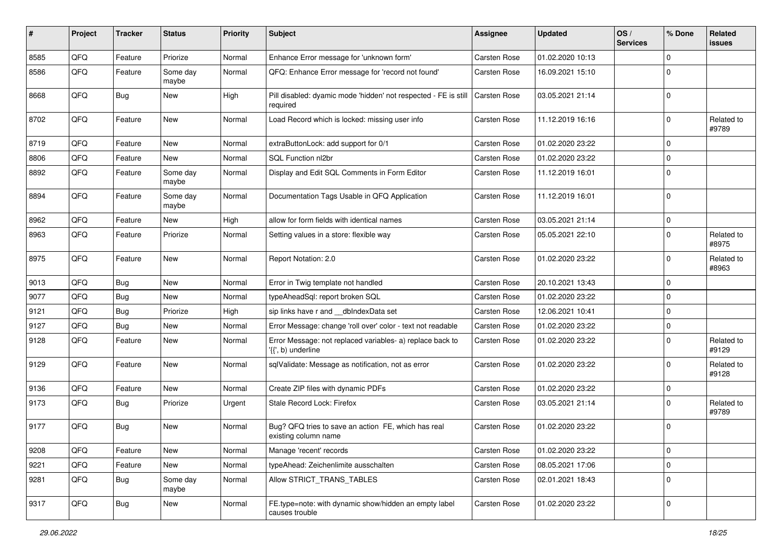| #    | Project | Tracker    | <b>Status</b>     | <b>Priority</b> | <b>Subject</b>                                                                  | <b>Assignee</b>     | <b>Updated</b>   | OS/<br><b>Services</b> | % Done      | Related<br>issues   |
|------|---------|------------|-------------------|-----------------|---------------------------------------------------------------------------------|---------------------|------------------|------------------------|-------------|---------------------|
| 8585 | QFQ     | Feature    | Priorize          | Normal          | Enhance Error message for 'unknown form'                                        | Carsten Rose        | 01.02.2020 10:13 |                        | $\Omega$    |                     |
| 8586 | QFQ     | Feature    | Some day<br>maybe | Normal          | QFQ: Enhance Error message for 'record not found'                               | <b>Carsten Rose</b> | 16.09.2021 15:10 |                        | $\Omega$    |                     |
| 8668 | QFQ     | Bug        | <b>New</b>        | High            | Pill disabled: dyamic mode 'hidden' not respected - FE is still<br>required     | <b>Carsten Rose</b> | 03.05.2021 21:14 |                        | 0           |                     |
| 8702 | QFQ     | Feature    | <b>New</b>        | Normal          | Load Record which is locked: missing user info                                  | <b>Carsten Rose</b> | 11.12.2019 16:16 |                        | $\Omega$    | Related to<br>#9789 |
| 8719 | QFQ     | Feature    | New               | Normal          | extraButtonLock: add support for 0/1                                            | <b>Carsten Rose</b> | 01.02.2020 23:22 |                        | $\Omega$    |                     |
| 8806 | QFQ     | Feature    | New               | Normal          | SQL Function nl2br                                                              | <b>Carsten Rose</b> | 01.02.2020 23:22 |                        | 0           |                     |
| 8892 | QFQ     | Feature    | Some day<br>maybe | Normal          | Display and Edit SQL Comments in Form Editor                                    | <b>Carsten Rose</b> | 11.12.2019 16:01 |                        | $\Omega$    |                     |
| 8894 | QFQ     | Feature    | Some day<br>maybe | Normal          | Documentation Tags Usable in QFQ Application                                    | <b>Carsten Rose</b> | 11.12.2019 16:01 |                        | $\Omega$    |                     |
| 8962 | QFQ     | Feature    | <b>New</b>        | High            | allow for form fields with identical names                                      | Carsten Rose        | 03.05.2021 21:14 |                        | $\Omega$    |                     |
| 8963 | QFQ     | Feature    | Priorize          | Normal          | Setting values in a store: flexible way                                         | <b>Carsten Rose</b> | 05.05.2021 22:10 |                        | $\Omega$    | Related to<br>#8975 |
| 8975 | QFQ     | Feature    | <b>New</b>        | Normal          | Report Notation: 2.0                                                            | <b>Carsten Rose</b> | 01.02.2020 23:22 |                        | $\Omega$    | Related to<br>#8963 |
| 9013 | QFQ     | Bug        | New               | Normal          | Error in Twig template not handled                                              | Carsten Rose        | 20.10.2021 13:43 |                        | 0           |                     |
| 9077 | QFQ     | Bug        | New               | Normal          | typeAheadSql: report broken SQL                                                 | <b>Carsten Rose</b> | 01.02.2020 23:22 |                        | $\Omega$    |                     |
| 9121 | QFQ     | Bug        | Priorize          | High            | sip links have r and __dbIndexData set                                          | Carsten Rose        | 12.06.2021 10:41 |                        | $\Omega$    |                     |
| 9127 | QFQ     | Bug        | New               | Normal          | Error Message: change 'roll over' color - text not readable                     | Carsten Rose        | 01.02.2020 23:22 |                        | 0           |                     |
| 9128 | QFQ     | Feature    | New               | Normal          | Error Message: not replaced variables- a) replace back to<br>'{{', b) underline | <b>Carsten Rose</b> | 01.02.2020 23:22 |                        | $\Omega$    | Related to<br>#9129 |
| 9129 | QFQ     | Feature    | <b>New</b>        | Normal          | sqlValidate: Message as notification, not as error                              | <b>Carsten Rose</b> | 01.02.2020 23:22 |                        | $\Omega$    | Related to<br>#9128 |
| 9136 | QFQ     | Feature    | New               | Normal          | Create ZIP files with dynamic PDFs                                              | <b>Carsten Rose</b> | 01.02.2020 23:22 |                        | $\mathbf 0$ |                     |
| 9173 | QFQ     | Bug        | Priorize          | Urgent          | Stale Record Lock: Firefox                                                      | <b>Carsten Rose</b> | 03.05.2021 21:14 |                        | $\Omega$    | Related to<br>#9789 |
| 9177 | QFQ     | Bug        | New               | Normal          | Bug? QFQ tries to save an action FE, which has real<br>existing column name     | <b>Carsten Rose</b> | 01.02.2020 23:22 |                        | 0           |                     |
| 9208 | QFQ     | Feature    | New               | Normal          | Manage 'recent' records                                                         | Carsten Rose        | 01.02.2020 23:22 |                        | $\mathbf 0$ |                     |
| 9221 | QFQ     | Feature    | New               | Normal          | typeAhead: Zeichenlimite ausschalten                                            | Carsten Rose        | 08.05.2021 17:06 |                        | $\mathbf 0$ |                     |
| 9281 | QFQ     | <b>Bug</b> | Some day<br>maybe | Normal          | Allow STRICT_TRANS_TABLES                                                       | Carsten Rose        | 02.01.2021 18:43 |                        | 0           |                     |
| 9317 | QFQ     | Bug        | New               | Normal          | FE.type=note: with dynamic show/hidden an empty label<br>causes trouble         | Carsten Rose        | 01.02.2020 23:22 |                        | 0           |                     |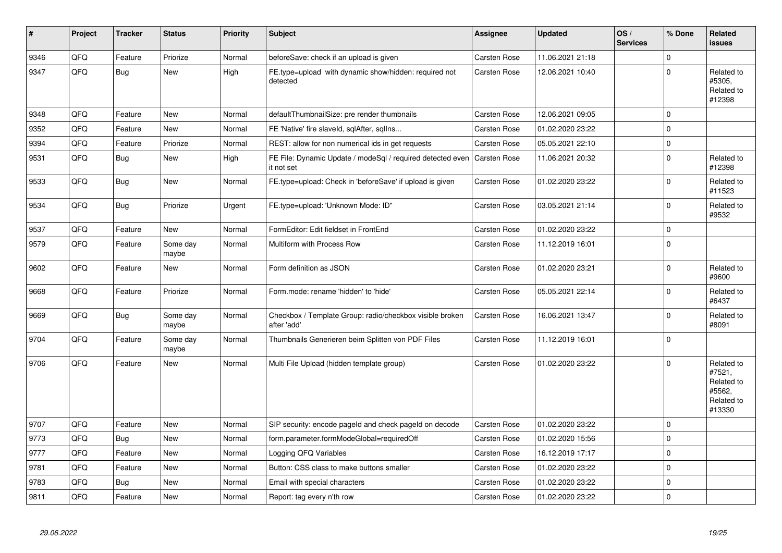| #    | Project | <b>Tracker</b> | <b>Status</b>     | <b>Priority</b> | <b>Subject</b>                                                           | Assignee            | <b>Updated</b>   | OS/<br><b>Services</b> | % Done      | Related<br><b>issues</b>                                             |
|------|---------|----------------|-------------------|-----------------|--------------------------------------------------------------------------|---------------------|------------------|------------------------|-------------|----------------------------------------------------------------------|
| 9346 | QFQ     | Feature        | Priorize          | Normal          | beforeSave: check if an upload is given                                  | <b>Carsten Rose</b> | 11.06.2021 21:18 |                        | $\Omega$    |                                                                      |
| 9347 | QFQ     | <b>Bug</b>     | New               | High            | FE.type=upload with dynamic show/hidden: required not<br>detected        | Carsten Rose        | 12.06.2021 10:40 |                        | $\Omega$    | Related to<br>#5305,<br>Related to<br>#12398                         |
| 9348 | QFQ     | Feature        | <b>New</b>        | Normal          | defaultThumbnailSize: pre render thumbnails                              | <b>Carsten Rose</b> | 12.06.2021 09:05 |                        | $\Omega$    |                                                                      |
| 9352 | QFQ     | Feature        | New               | Normal          | FE 'Native' fire slaveld, sqlAfter, sqlIns                               | Carsten Rose        | 01.02.2020 23:22 |                        | $\mathbf 0$ |                                                                      |
| 9394 | QFQ     | Feature        | Priorize          | Normal          | REST: allow for non numerical ids in get requests                        | Carsten Rose        | 05.05.2021 22:10 |                        | $\mathbf 0$ |                                                                      |
| 9531 | QFQ     | Bug            | New               | High            | FE File: Dynamic Update / modeSql / required detected even<br>it not set | <b>Carsten Rose</b> | 11.06.2021 20:32 |                        | $\Omega$    | Related to<br>#12398                                                 |
| 9533 | QFQ     | <b>Bug</b>     | <b>New</b>        | Normal          | FE.type=upload: Check in 'beforeSave' if upload is given                 | Carsten Rose        | 01.02.2020 23:22 |                        | $\Omega$    | Related to<br>#11523                                                 |
| 9534 | QFQ     | Bug            | Priorize          | Urgent          | FE.type=upload: 'Unknown Mode: ID"                                       | Carsten Rose        | 03.05.2021 21:14 |                        | $\Omega$    | Related to<br>#9532                                                  |
| 9537 | QFQ     | Feature        | <b>New</b>        | Normal          | FormEditor: Edit fieldset in FrontEnd                                    | Carsten Rose        | 01.02.2020 23:22 |                        | $\mathbf 0$ |                                                                      |
| 9579 | QFQ     | Feature        | Some day<br>maybe | Normal          | Multiform with Process Row                                               | Carsten Rose        | 11.12.2019 16:01 |                        | $\Omega$    |                                                                      |
| 9602 | QFQ     | Feature        | <b>New</b>        | Normal          | Form definition as JSON                                                  | Carsten Rose        | 01.02.2020 23:21 |                        | $\Omega$    | Related to<br>#9600                                                  |
| 9668 | QFQ     | Feature        | Priorize          | Normal          | Form.mode: rename 'hidden' to 'hide'                                     | Carsten Rose        | 05.05.2021 22:14 |                        | $\Omega$    | Related to<br>#6437                                                  |
| 9669 | QFQ     | Bug            | Some day<br>maybe | Normal          | Checkbox / Template Group: radio/checkbox visible broken<br>after 'add'  | <b>Carsten Rose</b> | 16.06.2021 13:47 |                        | $\Omega$    | Related to<br>#8091                                                  |
| 9704 | QFQ     | Feature        | Some day<br>maybe | Normal          | Thumbnails Generieren beim Splitten von PDF Files                        | <b>Carsten Rose</b> | 11.12.2019 16:01 |                        | $\Omega$    |                                                                      |
| 9706 | QFQ     | Feature        | New               | Normal          | Multi File Upload (hidden template group)                                | Carsten Rose        | 01.02.2020 23:22 |                        | $\Omega$    | Related to<br>#7521,<br>Related to<br>#5562,<br>Related to<br>#13330 |
| 9707 | QFQ     | Feature        | New               | Normal          | SIP security: encode pageld and check pageld on decode                   | Carsten Rose        | 01.02.2020 23:22 |                        | 0           |                                                                      |
| 9773 | QFQ     | Bug            | <b>New</b>        | Normal          | form.parameter.formModeGlobal=requiredOff                                | Carsten Rose        | 01.02.2020 15:56 |                        | $\Omega$    |                                                                      |
| 9777 | QFQ     | Feature        | <b>New</b>        | Normal          | Logging QFQ Variables                                                    | Carsten Rose        | 16.12.2019 17:17 |                        | $\mathbf 0$ |                                                                      |
| 9781 | QFQ     | Feature        | <b>New</b>        | Normal          | Button: CSS class to make buttons smaller                                | Carsten Rose        | 01.02.2020 23:22 |                        | $\Omega$    |                                                                      |
| 9783 | QFQ     | Bug            | New               | Normal          | Email with special characters                                            | Carsten Rose        | 01.02.2020 23:22 |                        | $\Omega$    |                                                                      |
| 9811 | QFQ     | Feature        | New               | Normal          | Report: tag every n'th row                                               | <b>Carsten Rose</b> | 01.02.2020 23:22 |                        | $\Omega$    |                                                                      |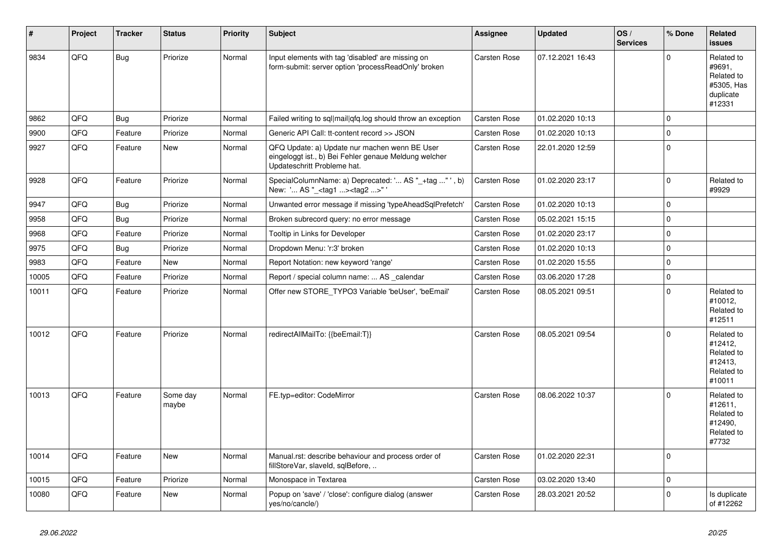| $\vert$ # | Project | <b>Tracker</b> | <b>Status</b>     | <b>Priority</b> | <b>Subject</b>                                                                                                                        | Assignee            | <b>Updated</b>   | OS/<br><b>Services</b> | % Done      | Related<br><b>issues</b>                                                |
|-----------|---------|----------------|-------------------|-----------------|---------------------------------------------------------------------------------------------------------------------------------------|---------------------|------------------|------------------------|-------------|-------------------------------------------------------------------------|
| 9834      | QFQ     | <b>Bug</b>     | Priorize          | Normal          | Input elements with tag 'disabled' are missing on<br>form-submit: server option 'processReadOnly' broken                              | <b>Carsten Rose</b> | 07.12.2021 16:43 |                        | $\mathbf 0$ | Related to<br>#9691,<br>Related to<br>#5305, Has<br>duplicate<br>#12331 |
| 9862      | QFQ     | <b>Bug</b>     | Priorize          | Normal          | Failed writing to sql mail qfq.log should throw an exception                                                                          | Carsten Rose        | 01.02.2020 10:13 |                        | 0           |                                                                         |
| 9900      | QFQ     | Feature        | Priorize          | Normal          | Generic API Call: tt-content record >> JSON                                                                                           | Carsten Rose        | 01.02.2020 10:13 |                        | $\pmb{0}$   |                                                                         |
| 9927      | QFQ     | Feature        | New               | Normal          | QFQ Update: a) Update nur machen wenn BE User<br>eingeloggt ist., b) Bei Fehler genaue Meldung welcher<br>Updateschritt Probleme hat. | Carsten Rose        | 22.01.2020 12:59 |                        | 0           |                                                                         |
| 9928      | QFQ     | Feature        | Priorize          | Normal          | SpecialColumnName: a) Deprecated: ' AS "_+tag " ', b)<br>New: ' AS "_ <tag1><tag2>"</tag2></tag1>                                     | <b>Carsten Rose</b> | 01.02.2020 23:17 |                        | 0           | Related to<br>#9929                                                     |
| 9947      | QFQ     | <b>Bug</b>     | Priorize          | Normal          | Unwanted error message if missing 'typeAheadSqlPrefetch'                                                                              | <b>Carsten Rose</b> | 01.02.2020 10:13 |                        | 0           |                                                                         |
| 9958      | QFQ     | <b>Bug</b>     | Priorize          | Normal          | Broken subrecord query: no error message                                                                                              | Carsten Rose        | 05.02.2021 15:15 |                        | 0           |                                                                         |
| 9968      | QFQ     | Feature        | Priorize          | Normal          | Tooltip in Links for Developer                                                                                                        | Carsten Rose        | 01.02.2020 23:17 |                        | 0           |                                                                         |
| 9975      | QFQ     | Bug            | Priorize          | Normal          | Dropdown Menu: 'r:3' broken                                                                                                           | Carsten Rose        | 01.02.2020 10:13 |                        | $\mathbf 0$ |                                                                         |
| 9983      | QFQ     | Feature        | New               | Normal          | Report Notation: new keyword 'range'                                                                                                  | Carsten Rose        | 01.02.2020 15:55 |                        | 0           |                                                                         |
| 10005     | QFQ     | Feature        | Priorize          | Normal          | Report / special column name:  AS _calendar                                                                                           | Carsten Rose        | 03.06.2020 17:28 |                        | 0           |                                                                         |
| 10011     | QFQ     | Feature        | Priorize          | Normal          | Offer new STORE_TYPO3 Variable 'beUser', 'beEmail'                                                                                    | Carsten Rose        | 08.05.2021 09:51 |                        | $\mathbf 0$ | Related to<br>#10012,<br>Related to<br>#12511                           |
| 10012     | QFQ     | Feature        | Priorize          | Normal          | redirectAllMailTo: {{beEmail:T}}                                                                                                      | <b>Carsten Rose</b> | 08.05.2021 09:54 |                        | $\Omega$    | Related to<br>#12412,<br>Related to<br>#12413.<br>Related to<br>#10011  |
| 10013     | QFQ     | Feature        | Some day<br>maybe | Normal          | FE.typ=editor: CodeMirror                                                                                                             | Carsten Rose        | 08.06.2022 10:37 |                        | $\Omega$    | Related to<br>#12611,<br>Related to<br>#12490,<br>Related to<br>#7732   |
| 10014     | QFQ     | Feature        | <b>New</b>        | Normal          | Manual.rst: describe behaviour and process order of<br>fillStoreVar, slaveId, sqlBefore,                                              | Carsten Rose        | 01.02.2020 22:31 |                        | 0           |                                                                         |
| 10015     | QFQ     | Feature        | Priorize          | Normal          | Monospace in Textarea                                                                                                                 | Carsten Rose        | 03.02.2020 13:40 |                        | 0           |                                                                         |
| 10080     | QFQ     | Feature        | New               | Normal          | Popup on 'save' / 'close': configure dialog (answer<br>yes/no/cancle/)                                                                | Carsten Rose        | 28.03.2021 20:52 |                        | $\mathbf 0$ | Is duplicate<br>of #12262                                               |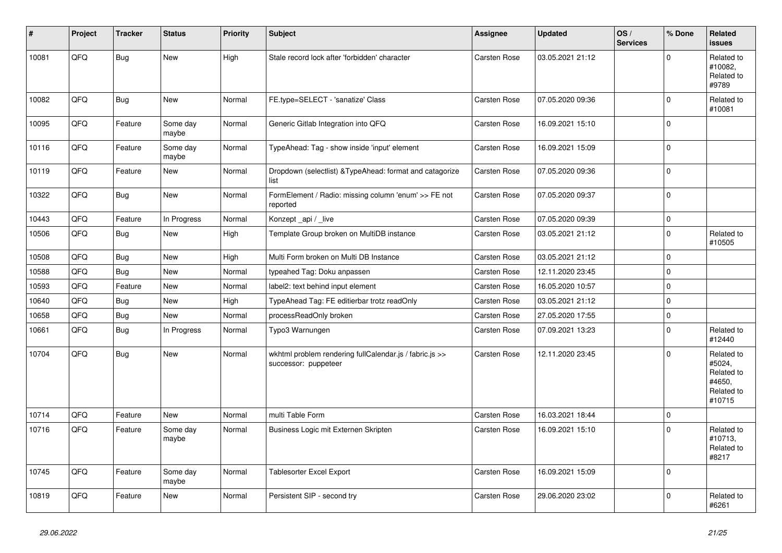| #     | Project | <b>Tracker</b> | <b>Status</b>     | <b>Priority</b> | <b>Subject</b>                                                                  | Assignee            | <b>Updated</b>   | OS/<br><b>Services</b> | % Done      | Related<br><b>issues</b>                                             |
|-------|---------|----------------|-------------------|-----------------|---------------------------------------------------------------------------------|---------------------|------------------|------------------------|-------------|----------------------------------------------------------------------|
| 10081 | QFQ     | <b>Bug</b>     | <b>New</b>        | High            | Stale record lock after 'forbidden' character                                   | <b>Carsten Rose</b> | 03.05.2021 21:12 |                        | $\Omega$    | Related to<br>#10082,<br>Related to<br>#9789                         |
| 10082 | QFQ     | <b>Bug</b>     | New               | Normal          | FE.type=SELECT - 'sanatize' Class                                               | Carsten Rose        | 07.05.2020 09:36 |                        | $\Omega$    | Related to<br>#10081                                                 |
| 10095 | QFQ     | Feature        | Some day<br>maybe | Normal          | Generic Gitlab Integration into QFQ                                             | Carsten Rose        | 16.09.2021 15:10 |                        | $\Omega$    |                                                                      |
| 10116 | QFQ     | Feature        | Some day<br>maybe | Normal          | TypeAhead: Tag - show inside 'input' element                                    | Carsten Rose        | 16.09.2021 15:09 |                        | $\mathbf 0$ |                                                                      |
| 10119 | QFQ     | Feature        | <b>New</b>        | Normal          | Dropdown (selectlist) & TypeAhead: format and catagorize<br>list                | <b>Carsten Rose</b> | 07.05.2020 09:36 |                        | $\Omega$    |                                                                      |
| 10322 | QFQ     | <b>Bug</b>     | <b>New</b>        | Normal          | FormElement / Radio: missing column 'enum' >> FE not<br>reported                | Carsten Rose        | 07.05.2020 09:37 |                        | $\Omega$    |                                                                      |
| 10443 | QFQ     | Feature        | In Progress       | Normal          | Konzept_api / _live                                                             | <b>Carsten Rose</b> | 07.05.2020 09:39 |                        | $\Omega$    |                                                                      |
| 10506 | QFQ     | <b>Bug</b>     | New               | High            | Template Group broken on MultiDB instance                                       | <b>Carsten Rose</b> | 03.05.2021 21:12 |                        | $\Omega$    | Related to<br>#10505                                                 |
| 10508 | QFQ     | Bug            | <b>New</b>        | High            | Multi Form broken on Multi DB Instance                                          | Carsten Rose        | 03.05.2021 21:12 |                        | $\mathbf 0$ |                                                                      |
| 10588 | QFQ     | Bug            | <b>New</b>        | Normal          | typeahed Tag: Doku anpassen                                                     | Carsten Rose        | 12.11.2020 23:45 |                        | $\mathbf 0$ |                                                                      |
| 10593 | QFQ     | Feature        | New               | Normal          | label2: text behind input element                                               | Carsten Rose        | 16.05.2020 10:57 |                        | $\Omega$    |                                                                      |
| 10640 | QFQ     | Bug            | New               | High            | TypeAhead Tag: FE editierbar trotz readOnly                                     | Carsten Rose        | 03.05.2021 21:12 |                        | $\Omega$    |                                                                      |
| 10658 | QFQ     | <b>Bug</b>     | New               | Normal          | processReadOnly broken                                                          | <b>Carsten Rose</b> | 27.05.2020 17:55 |                        | $\mathbf 0$ |                                                                      |
| 10661 | QFQ     | <b>Bug</b>     | In Progress       | Normal          | Typo3 Warnungen                                                                 | <b>Carsten Rose</b> | 07.09.2021 13:23 |                        | $\Omega$    | Related to<br>#12440                                                 |
| 10704 | QFQ     | <b>Bug</b>     | New               | Normal          | wkhtml problem rendering fullCalendar.js / fabric.js >><br>successor: puppeteer | <b>Carsten Rose</b> | 12.11.2020 23:45 |                        | $\Omega$    | Related to<br>#5024,<br>Related to<br>#4650,<br>Related to<br>#10715 |
| 10714 | QFQ     | Feature        | <b>New</b>        | Normal          | multi Table Form                                                                | <b>Carsten Rose</b> | 16.03.2021 18:44 |                        | $\mathbf 0$ |                                                                      |
| 10716 | QFQ     | Feature        | Some day<br>maybe | Normal          | Business Logic mit Externen Skripten                                            | Carsten Rose        | 16.09.2021 15:10 |                        | $\Omega$    | Related to<br>#10713,<br>Related to<br>#8217                         |
| 10745 | QFQ     | Feature        | Some day<br>maybe | Normal          | <b>Tablesorter Excel Export</b>                                                 | Carsten Rose        | 16.09.2021 15:09 |                        | $\Omega$    |                                                                      |
| 10819 | QFQ     | Feature        | <b>New</b>        | Normal          | Persistent SIP - second try                                                     | Carsten Rose        | 29.06.2020 23:02 |                        | $\Omega$    | Related to<br>#6261                                                  |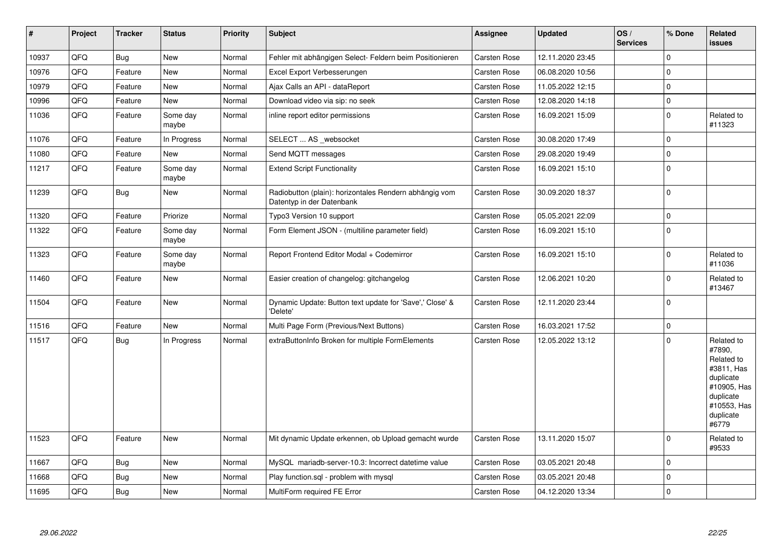| $\vert$ # | Project | <b>Tracker</b> | <b>Status</b>     | <b>Priority</b> | <b>Subject</b>                                                                      | Assignee            | <b>Updated</b>   | OS/<br><b>Services</b> | % Done      | Related<br><b>issues</b>                                                                                                       |
|-----------|---------|----------------|-------------------|-----------------|-------------------------------------------------------------------------------------|---------------------|------------------|------------------------|-------------|--------------------------------------------------------------------------------------------------------------------------------|
| 10937     | QFQ     | Bug            | <b>New</b>        | Normal          | Fehler mit abhängigen Select- Feldern beim Positionieren                            | <b>Carsten Rose</b> | 12.11.2020 23:45 |                        | $\Omega$    |                                                                                                                                |
| 10976     | QFQ     | Feature        | <b>New</b>        | Normal          | Excel Export Verbesserungen                                                         | <b>Carsten Rose</b> | 06.08.2020 10:56 |                        | $\mathbf 0$ |                                                                                                                                |
| 10979     | QFQ     | Feature        | <b>New</b>        | Normal          | Ajax Calls an API - dataReport                                                      | Carsten Rose        | 11.05.2022 12:15 |                        | $\Omega$    |                                                                                                                                |
| 10996     | QFQ     | Feature        | <b>New</b>        | Normal          | Download video via sip: no seek                                                     | Carsten Rose        | 12.08.2020 14:18 |                        | $\mathbf 0$ |                                                                                                                                |
| 11036     | QFQ     | Feature        | Some day<br>maybe | Normal          | inline report editor permissions                                                    | Carsten Rose        | 16.09.2021 15:09 |                        | $\Omega$    | Related to<br>#11323                                                                                                           |
| 11076     | QFQ     | Feature        | In Progress       | Normal          | SELECT  AS _websocket                                                               | Carsten Rose        | 30.08.2020 17:49 |                        | $\mathbf 0$ |                                                                                                                                |
| 11080     | QFQ     | Feature        | New               | Normal          | Send MQTT messages                                                                  | Carsten Rose        | 29.08.2020 19:49 |                        | $\mathbf 0$ |                                                                                                                                |
| 11217     | QFQ     | Feature        | Some day<br>maybe | Normal          | <b>Extend Script Functionality</b>                                                  | Carsten Rose        | 16.09.2021 15:10 |                        | $\Omega$    |                                                                                                                                |
| 11239     | QFQ     | Bug            | <b>New</b>        | Normal          | Radiobutton (plain): horizontales Rendern abhängig vom<br>Datentyp in der Datenbank | Carsten Rose        | 30.09.2020 18:37 |                        | $\Omega$    |                                                                                                                                |
| 11320     | QFQ     | Feature        | Priorize          | Normal          | Typo3 Version 10 support                                                            | Carsten Rose        | 05.05.2021 22:09 |                        | $\Omega$    |                                                                                                                                |
| 11322     | QFQ     | Feature        | Some day<br>maybe | Normal          | Form Element JSON - (multiline parameter field)                                     | Carsten Rose        | 16.09.2021 15:10 |                        | $\mathbf 0$ |                                                                                                                                |
| 11323     | QFQ     | Feature        | Some day<br>maybe | Normal          | Report Frontend Editor Modal + Codemirror                                           | <b>Carsten Rose</b> | 16.09.2021 15:10 |                        | $\Omega$    | Related to<br>#11036                                                                                                           |
| 11460     | QFQ     | Feature        | New               | Normal          | Easier creation of changelog: gitchangelog                                          | Carsten Rose        | 12.06.2021 10:20 |                        | $\Omega$    | Related to<br>#13467                                                                                                           |
| 11504     | QFQ     | Feature        | New               | Normal          | Dynamic Update: Button text update for 'Save',' Close' &<br>'Delete'                | <b>Carsten Rose</b> | 12.11.2020 23:44 |                        | $\Omega$    |                                                                                                                                |
| 11516     | QFQ     | Feature        | New               | Normal          | Multi Page Form (Previous/Next Buttons)                                             | Carsten Rose        | 16.03.2021 17:52 |                        | $\mathbf 0$ |                                                                                                                                |
| 11517     | QFQ     | Bug            | In Progress       | Normal          | extraButtonInfo Broken for multiple FormElements                                    | <b>Carsten Rose</b> | 12.05.2022 13:12 |                        | $\mathbf 0$ | Related to<br>#7890,<br>Related to<br>#3811, Has<br>duplicate<br>#10905, Has<br>duplicate<br>#10553, Has<br>duplicate<br>#6779 |
| 11523     | QFQ     | Feature        | New               | Normal          | Mit dynamic Update erkennen, ob Upload gemacht wurde                                | Carsten Rose        | 13.11.2020 15:07 |                        | $\Omega$    | Related to<br>#9533                                                                                                            |
| 11667     | QFQ     | <b>Bug</b>     | New               | Normal          | MySQL mariadb-server-10.3: Incorrect datetime value                                 | Carsten Rose        | 03.05.2021 20:48 |                        | $\Omega$    |                                                                                                                                |
| 11668     | QFQ     | Bug            | New               | Normal          | Play function.sql - problem with mysql                                              | <b>Carsten Rose</b> | 03.05.2021 20:48 |                        | $\Omega$    |                                                                                                                                |
| 11695     | QFQ     | <b>Bug</b>     | New               | Normal          | MultiForm required FE Error                                                         | <b>Carsten Rose</b> | 04.12.2020 13:34 |                        | $\mathbf 0$ |                                                                                                                                |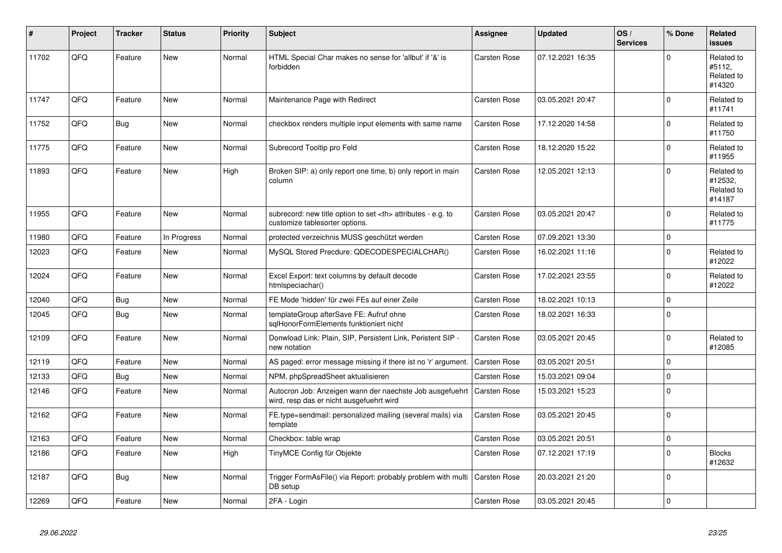| $\pmb{\sharp}$ | Project | <b>Tracker</b> | <b>Status</b> | <b>Priority</b> | <b>Subject</b>                                                                                       | Assignee                                               | <b>Updated</b>   | OS/<br><b>Services</b> | % Done      | Related<br><b>issues</b>                      |                      |
|----------------|---------|----------------|---------------|-----------------|------------------------------------------------------------------------------------------------------|--------------------------------------------------------|------------------|------------------------|-------------|-----------------------------------------------|----------------------|
| 11702          | QFQ     | Feature        | <b>New</b>    | Normal          | HTML Special Char makes no sense for 'allbut' if '&' is<br>forbidden                                 | Carsten Rose                                           | 07.12.2021 16:35 |                        | $\Omega$    | Related to<br>#5112,<br>Related to<br>#14320  |                      |
| 11747          | QFQ     | Feature        | <b>New</b>    | Normal          | Maintenance Page with Redirect                                                                       | Carsten Rose                                           | 03.05.2021 20:47 |                        | $\mathbf 0$ | Related to<br>#11741                          |                      |
| 11752          | QFQ     | <b>Bug</b>     | <b>New</b>    | Normal          | checkbox renders multiple input elements with same name                                              | Carsten Rose                                           | 17.12.2020 14:58 |                        | $\Omega$    | Related to<br>#11750                          |                      |
| 11775          | QFQ     | Feature        | New           | Normal          | Subrecord Tooltip pro Feld                                                                           | Carsten Rose                                           | 18.12.2020 15:22 |                        | $\mathbf 0$ | Related to<br>#11955                          |                      |
| 11893          | QFQ     | Feature        | New           | High            | Broken SIP: a) only report one time, b) only report in main<br>column                                | Carsten Rose                                           | 12.05.2021 12:13 |                        | $\mathbf 0$ | Related to<br>#12532,<br>Related to<br>#14187 |                      |
| 11955          | QFQ     | Feature        | <b>New</b>    | Normal          | subrecord: new title option to set <th> attributes - e.g. to<br/>customize tablesorter options.</th> | attributes - e.g. to<br>customize tablesorter options. | Carsten Rose     | 03.05.2021 20:47       |             | $\Omega$                                      | Related to<br>#11775 |
| 11980          | QFQ     | Feature        | In Progress   | Normal          | protected verzeichnis MUSS geschützt werden                                                          | Carsten Rose                                           | 07.09.2021 13:30 |                        | $\mathbf 0$ |                                               |                      |
| 12023          | QFQ     | Feature        | New           | Normal          | MySQL Stored Precdure: QDECODESPECIALCHAR()                                                          | Carsten Rose                                           | 16.02.2021 11:16 |                        | $\mathbf 0$ | Related to<br>#12022                          |                      |
| 12024          | QFQ     | Feature        | <b>New</b>    | Normal          | Excel Export: text columns by default decode<br>htmlspeciachar()                                     | Carsten Rose                                           | 17.02.2021 23:55 |                        | $\Omega$    | Related to<br>#12022                          |                      |
| 12040          | QFQ     | Bug            | <b>New</b>    | Normal          | FE Mode 'hidden' für zwei FEs auf einer Zeile                                                        | Carsten Rose                                           | 18.02.2021 10:13 |                        | $\mathbf 0$ |                                               |                      |
| 12045          | QFQ     | <b>Bug</b>     | New           | Normal          | templateGroup afterSave FE: Aufruf ohne<br>sglHonorFormElements funktioniert nicht                   | Carsten Rose                                           | 18.02.2021 16:33 |                        | $\Omega$    |                                               |                      |
| 12109          | QFQ     | Feature        | <b>New</b>    | Normal          | Donwload Link: Plain, SIP, Persistent Link, Peristent SIP -<br>new notation                          | Carsten Rose                                           | 03.05.2021 20:45 |                        | $\mathbf 0$ | Related to<br>#12085                          |                      |
| 12119          | QFQ     | Feature        | New           | Normal          | AS paged: error message missing if there ist no 'r' argument.                                        | Carsten Rose                                           | 03.05.2021 20:51 |                        | $\Omega$    |                                               |                      |
| 12133          | QFQ     | Bug            | New           | Normal          | NPM, phpSpreadSheet aktualisieren                                                                    | Carsten Rose                                           | 15.03.2021 09:04 |                        | $\mathbf 0$ |                                               |                      |
| 12146          | QFQ     | Feature        | New           | Normal          | Autocron Job: Anzeigen wann der naechste Job ausgefuehrt<br>wird, resp das er nicht ausgefuehrt wird | Carsten Rose                                           | 15.03.2021 15:23 |                        | $\mathbf 0$ |                                               |                      |
| 12162          | QFQ     | Feature        | New           | Normal          | FE.type=sendmail: personalized mailing (several mails) via<br>template                               | Carsten Rose                                           | 03.05.2021 20:45 |                        | $\Omega$    |                                               |                      |
| 12163          | QFQ     | Feature        | <b>New</b>    | Normal          | Checkbox: table wrap                                                                                 | <b>Carsten Rose</b>                                    | 03.05.2021 20:51 |                        | $\mathbf 0$ |                                               |                      |
| 12186          | QFQ     | Feature        | <b>New</b>    | High            | TinyMCE Config für Objekte                                                                           | Carsten Rose                                           | 07.12.2021 17:19 |                        | $\Omega$    | <b>Blocks</b><br>#12632                       |                      |
| 12187          | QFQ     | <b>Bug</b>     | <b>New</b>    | Normal          | Trigger FormAsFile() via Report: probably problem with multi<br>DB setup                             | Carsten Rose                                           | 20.03.2021 21:20 |                        | $\mathbf 0$ |                                               |                      |
| 12269          | QFQ     | Feature        | <b>New</b>    | Normal          | 2FA - Login                                                                                          | <b>Carsten Rose</b>                                    | 03.05.2021 20:45 |                        | $\mathbf 0$ |                                               |                      |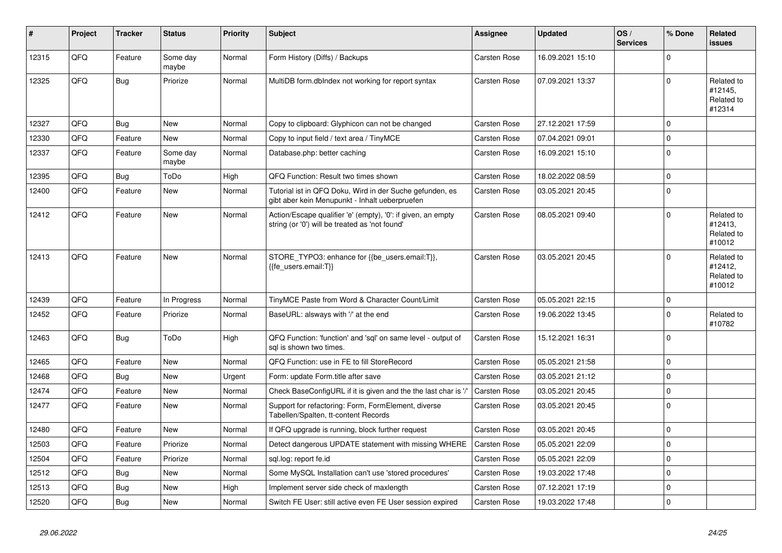| #     | Project | Tracker    | <b>Status</b>     | <b>Priority</b> | <b>Subject</b>                                                                                                 | Assignee            | <b>Updated</b>   | OS/<br><b>Services</b> | % Done      | Related<br>issues                             |
|-------|---------|------------|-------------------|-----------------|----------------------------------------------------------------------------------------------------------------|---------------------|------------------|------------------------|-------------|-----------------------------------------------|
| 12315 | QFQ     | Feature    | Some day<br>maybe | Normal          | Form History (Diffs) / Backups                                                                                 | <b>Carsten Rose</b> | 16.09.2021 15:10 |                        | $\Omega$    |                                               |
| 12325 | QFQ     | Bug        | Priorize          | Normal          | MultiDB form.dblndex not working for report syntax                                                             | <b>Carsten Rose</b> | 07.09.2021 13:37 |                        | $\mathbf 0$ | Related to<br>#12145,<br>Related to<br>#12314 |
| 12327 | QFQ     | Bug        | <b>New</b>        | Normal          | Copy to clipboard: Glyphicon can not be changed                                                                | Carsten Rose        | 27.12.2021 17:59 |                        | $\Omega$    |                                               |
| 12330 | QFQ     | Feature    | <b>New</b>        | Normal          | Copy to input field / text area / TinyMCE                                                                      | <b>Carsten Rose</b> | 07.04.2021 09:01 |                        | $\Omega$    |                                               |
| 12337 | QFQ     | Feature    | Some day<br>maybe | Normal          | Database.php: better caching                                                                                   | <b>Carsten Rose</b> | 16.09.2021 15:10 |                        | $\Omega$    |                                               |
| 12395 | QFQ     | Bug        | ToDo              | High            | QFQ Function: Result two times shown                                                                           | <b>Carsten Rose</b> | 18.02.2022 08:59 |                        | $\Omega$    |                                               |
| 12400 | QFQ     | Feature    | <b>New</b>        | Normal          | Tutorial ist in QFQ Doku, Wird in der Suche gefunden, es<br>gibt aber kein Menupunkt - Inhalt ueberpruefen     | <b>Carsten Rose</b> | 03.05.2021 20:45 |                        | $\Omega$    |                                               |
| 12412 | QFQ     | Feature    | New               | Normal          | Action/Escape qualifier 'e' (empty), '0': if given, an empty<br>string (or '0') will be treated as 'not found' | Carsten Rose        | 08.05.2021 09:40 |                        | $\Omega$    | Related to<br>#12413,<br>Related to<br>#10012 |
| 12413 | QFQ     | Feature    | <b>New</b>        | Normal          | STORE TYPO3: enhance for {{be users.email:T}},<br>{{fe users.email:T}}                                         | <b>Carsten Rose</b> | 03.05.2021 20:45 |                        | $\Omega$    | Related to<br>#12412,<br>Related to<br>#10012 |
| 12439 | QFQ     | Feature    | In Progress       | Normal          | TinyMCE Paste from Word & Character Count/Limit                                                                | <b>Carsten Rose</b> | 05.05.2021 22:15 |                        | $\mathbf 0$ |                                               |
| 12452 | QFQ     | Feature    | Priorize          | Normal          | BaseURL: alsways with '/' at the end                                                                           | <b>Carsten Rose</b> | 19.06.2022 13:45 |                        | $\Omega$    | Related to<br>#10782                          |
| 12463 | QFQ     | Bug        | ToDo              | High            | QFQ Function: 'function' and 'sql' on same level - output of<br>sal is shown two times.                        | Carsten Rose        | 15.12.2021 16:31 |                        | $\Omega$    |                                               |
| 12465 | QFQ     | Feature    | New               | Normal          | QFQ Function: use in FE to fill StoreRecord                                                                    | <b>Carsten Rose</b> | 05.05.2021 21:58 |                        | $\Omega$    |                                               |
| 12468 | QFQ     | <b>Bug</b> | <b>New</b>        | Urgent          | Form: update Form.title after save                                                                             | <b>Carsten Rose</b> | 03.05.2021 21:12 |                        | $\Omega$    |                                               |
| 12474 | QFQ     | Feature    | <b>New</b>        | Normal          | Check BaseConfigURL if it is given and the the last char is '/                                                 | <b>Carsten Rose</b> | 03.05.2021 20:45 |                        | $\Omega$    |                                               |
| 12477 | QFQ     | Feature    | <b>New</b>        | Normal          | Support for refactoring: Form, FormElement, diverse<br>Tabellen/Spalten, tt-content Records                    | <b>Carsten Rose</b> | 03.05.2021 20:45 |                        | $\mathbf 0$ |                                               |
| 12480 | QFQ     | Feature    | New               | Normal          | If QFQ upgrade is running, block further request                                                               | <b>Carsten Rose</b> | 03.05.2021 20:45 |                        | $\mathbf 0$ |                                               |
| 12503 | QFQ     | Feature    | Priorize          | Normal          | Detect dangerous UPDATE statement with missing WHERE                                                           | <b>Carsten Rose</b> | 05.05.2021 22:09 |                        | $\Omega$    |                                               |
| 12504 | QFQ     | Feature    | Priorize          | Normal          | sql.log: report fe.id                                                                                          | Carsten Rose        | 05.05.2021 22:09 |                        | $\Omega$    |                                               |
| 12512 | QFQ     | Bug        | <b>New</b>        | Normal          | Some MySQL Installation can't use 'stored procedures'                                                          | <b>Carsten Rose</b> | 19.03.2022 17:48 |                        | $\Omega$    |                                               |
| 12513 | QFQ     | Bug        | <b>New</b>        | High            | Implement server side check of maxlength                                                                       | <b>Carsten Rose</b> | 07.12.2021 17:19 |                        | $\mathbf 0$ |                                               |
| 12520 | QFQ     | Bug        | <b>New</b>        | Normal          | Switch FE User: still active even FE User session expired                                                      | <b>Carsten Rose</b> | 19.03.2022 17:48 |                        | $\Omega$    |                                               |